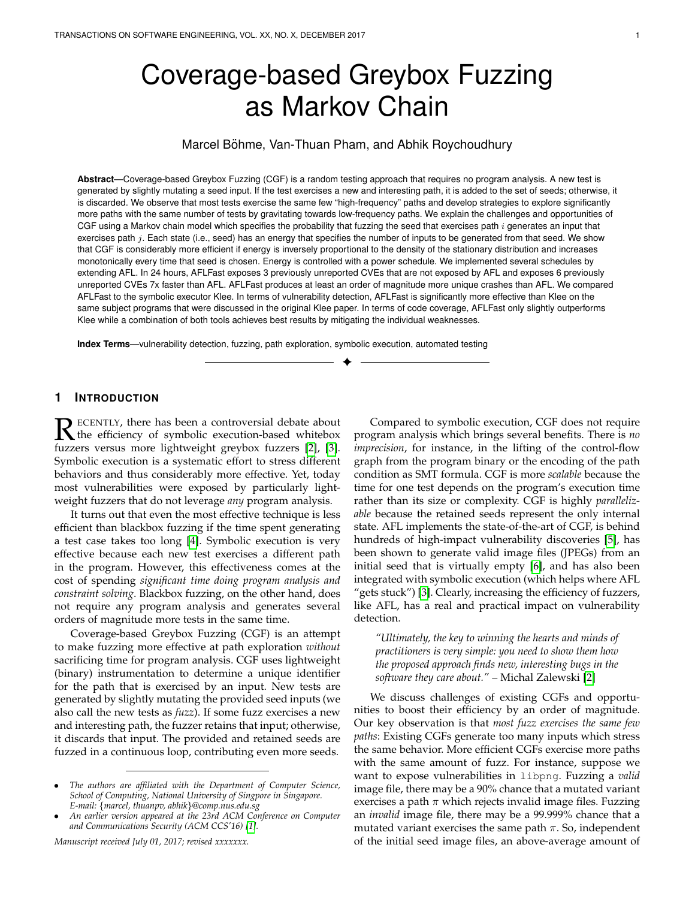# Coverage-based Greybox Fuzzing as Markov Chain

Marcel Böhme, Van-Thuan Pham, and Abhik Roychoudhury

**Abstract**—Coverage-based Greybox Fuzzing (CGF) is a random testing approach that requires no program analysis. A new test is generated by slightly mutating a seed input. If the test exercises a new and interesting path, it is added to the set of seeds; otherwise, it is discarded. We observe that most tests exercise the same few "high-frequency" paths and develop strategies to explore significantly more paths with the same number of tests by gravitating towards low-frequency paths. We explain the challenges and opportunities of CGF using a Markov chain model which specifies the probability that fuzzing the seed that exercises path  $i$  generates an input that exercises path  $j$ . Each state (i.e., seed) has an energy that specifies the number of inputs to be generated from that seed. We show that CGF is considerably more efficient if energy is inversely proportional to the density of the stationary distribution and increases monotonically every time that seed is chosen. Energy is controlled with a power schedule. We implemented several schedules by extending AFL. In 24 hours, AFLFast exposes 3 previously unreported CVEs that are not exposed by AFL and exposes 6 previously unreported CVEs 7x faster than AFL. AFLFast produces at least an order of magnitude more unique crashes than AFL. We compared AFLFast to the symbolic executor Klee. In terms of vulnerability detection, AFLFast is significantly more effective than Klee on the same subject programs that were discussed in the original Klee paper. In terms of code coverage, AFLFast only slightly outperforms Klee while a combination of both tools achieves best results by mitigating the individual weaknesses.

✦

**Index Terms**—vulnerability detection, fuzzing, path exploration, symbolic execution, automated testing

# <span id="page-0-0"></span>**1 INTRODUCTION**

R ECENTLY, there has been a controversial debate about<br>the efficiency of symbolic execution-based whitebox<br>fuzzors versus more lightwoight grovbox fuzzors [2], [3] ECENTLY, there has been a controversial debate about fuzzers versus more lightweight greybox fuzzers [\[2\]](#page-16-0), [\[3\]](#page-16-1). Symbolic execution is a systematic effort to stress different behaviors and thus considerably more effective. Yet, today most vulnerabilities were exposed by particularly lightweight fuzzers that do not leverage *any* program analysis.

It turns out that even the most effective technique is less efficient than blackbox fuzzing if the time spent generating a test case takes too long [\[4\]](#page-16-2). Symbolic execution is very effective because each new test exercises a different path in the program. However, this effectiveness comes at the cost of spending *significant time doing program analysis and constraint solving*. Blackbox fuzzing, on the other hand, does not require any program analysis and generates several orders of magnitude more tests in the same time.

Coverage-based Greybox Fuzzing (CGF) is an attempt to make fuzzing more effective at path exploration *without* sacrificing time for program analysis. CGF uses lightweight (binary) instrumentation to determine a unique identifier for the path that is exercised by an input. New tests are generated by slightly mutating the provided seed inputs (we also call the new tests as *fuzz*). If some fuzz exercises a new and interesting path, the fuzzer retains that input; otherwise, it discards that input. The provided and retained seeds are fuzzed in a continuous loop, contributing even more seeds.

*Manuscript received July 01, 2017; revised xxxxxxx.*

Compared to symbolic execution, CGF does not require program analysis which brings several benefits. There is *no imprecision*, for instance, in the lifting of the control-flow graph from the program binary or the encoding of the path condition as SMT formula. CGF is more *scalable* because the time for one test depends on the program's execution time rather than its size or complexity. CGF is highly *parallelizable* because the retained seeds represent the only internal state. AFL implements the state-of-the-art of CGF, is behind hundreds of high-impact vulnerability discoveries [\[5\]](#page-16-4), has been shown to generate valid image files (JPEGs) from an initial seed that is virtually empty [\[6\]](#page-16-5), and has also been integrated with symbolic execution (which helps where AFL "gets stuck") [\[3\]](#page-16-1). Clearly, increasing the efficiency of fuzzers, like AFL, has a real and practical impact on vulnerability detection.

*"Ultimately, the key to winning the hearts and minds of practitioners is very simple: you need to show them how the proposed approach finds new, interesting bugs in the software they care about."* – Michal Zalewski [\[2\]](#page-16-0)

We discuss challenges of existing CGFs and opportunities to boost their efficiency by an order of magnitude. Our key observation is that *most fuzz exercises the same few paths*: Existing CGFs generate too many inputs which stress the same behavior. More efficient CGFs exercise more paths with the same amount of fuzz. For instance, suppose we want to expose vulnerabilities in libpng. Fuzzing a *valid* image file, there may be a 90% chance that a mutated variant exercises a path  $\pi$  which rejects invalid image files. Fuzzing an *invalid* image file, there may be a 99.999% chance that a mutated variant exercises the same path  $\pi$ . So, independent of the initial seed image files, an above-average amount of

<sup>•</sup> *The authors are affiliated with the Department of Computer Science, School of Computing, National University of Singpore in Singapore. E-mail:* {*marcel, thuanpv, abhik*}*@comp.nus.edu.sg*

<sup>•</sup> *An earlier version appeared at the 23rd ACM Conference on Computer and Communications Security (ACM CCS'16) [\[1\]](#page-16-3).*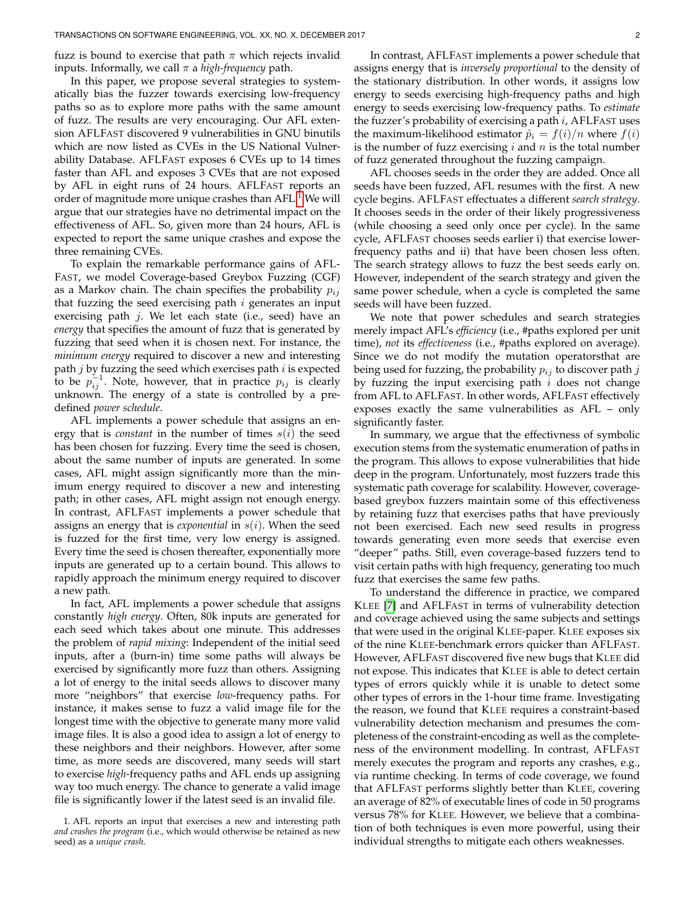fuzz is bound to exercise that path  $\pi$  which rejects invalid inputs. Informally, we call π a *high-frequency* path.

In this paper, we propose several strategies to systematically bias the fuzzer towards exercising low-frequency paths so as to explore more paths with the same amount of fuzz. The results are very encouraging. Our AFL extension AFLFAST discovered 9 vulnerabilities in GNU binutils which are now listed as CVEs in the US National Vulnerability Database. AFLFAST exposes 6 CVEs up to 14 times faster than AFL and exposes 3 CVEs that are not exposed by AFL in eight runs of 24 hours. AFLFAST reports an order of magnitude more unique crashes than AFL.<sup>[1](#page-1-0)</sup> We will argue that our strategies have no detrimental impact on the effectiveness of AFL. So, given more than 24 hours, AFL is expected to report the same unique crashes and expose the three remaining CVEs.

To explain the remarkable performance gains of AFL-FAST, we model Coverage-based Greybox Fuzzing (CGF) as a Markov chain. The chain specifies the probability  $p_{ij}$ that fuzzing the seed exercising path  $i$  generates an input exercising path  $j$ . We let each state (i.e., seed) have an *energy* that specifies the amount of fuzz that is generated by fuzzing that seed when it is chosen next. For instance, the *minimum energy* required to discover a new and interesting path  $j$  by fuzzing the seed which exercises path  $i$  is expected to be  $p_{ij}^{-1}$ . Note, however, that in practice  $p_{ij}$  is clearly unknown. The energy of a state is controlled by a predefined *power schedule*.

AFL implements a power schedule that assigns an energy that is *constant* in the number of times  $s(i)$  the seed has been chosen for fuzzing. Every time the seed is chosen, about the same number of inputs are generated. In some cases, AFL might assign significantly more than the minimum energy required to discover a new and interesting path; in other cases, AFL might assign not enough energy. In contrast, AFLFAST implements a power schedule that assigns an energy that is *exponential* in  $s(i)$ . When the seed is fuzzed for the first time, very low energy is assigned. Every time the seed is chosen thereafter, exponentially more inputs are generated up to a certain bound. This allows to rapidly approach the minimum energy required to discover a new path.

In fact, AFL implements a power schedule that assigns constantly *high energy*. Often, 80k inputs are generated for each seed which takes about one minute. This addresses the problem of *rapid mixing*: Independent of the initial seed inputs, after a (burn-in) time some paths will always be exercised by significantly more fuzz than others. Assigning a lot of energy to the inital seeds allows to discover many more "neighbors" that exercise *low*-frequency paths. For instance, it makes sense to fuzz a valid image file for the longest time with the objective to generate many more valid image files. It is also a good idea to assign a lot of energy to these neighbors and their neighbors. However, after some time, as more seeds are discovered, many seeds will start to exercise *high*-frequency paths and AFL ends up assigning way too much energy. The chance to generate a valid image file is significantly lower if the latest seed is an invalid file.

In contrast, AFLFAST implements a power schedule that assigns energy that is *inversely proportional* to the density of the stationary distribution. In other words, it assigns low energy to seeds exercising high-frequency paths and high energy to seeds exercising low-frequency paths. To *estimate* the fuzzer's probability of exercising a path  $i$ , AFLFAST uses the maximum-likelihood estimator  $\hat{p}_i = f(i)/n$  where  $f(i)$ is the number of fuzz exercising  $i$  and  $n$  is the total number of fuzz generated throughout the fuzzing campaign.

AFL chooses seeds in the order they are added. Once all seeds have been fuzzed, AFL resumes with the first. A new cycle begins. AFLFAST effectuates a different *search strategy*. It chooses seeds in the order of their likely progressiveness (while choosing a seed only once per cycle). In the same cycle, AFLFAST chooses seeds earlier i) that exercise lowerfrequency paths and ii) that have been chosen less often. The search strategy allows to fuzz the best seeds early on. However, independent of the search strategy and given the same power schedule, when a cycle is completed the same seeds will have been fuzzed.

We note that power schedules and search strategies merely impact AFL's *efficiency* (i.e., #paths explored per unit time), *not* its *effectiveness* (i.e., #paths explored on average). Since we do not modify the mutation operatorsthat are being used for fuzzing, the probability  $p_{ij}$  to discover path j by fuzzing the input exercising path  $i$  does not change from AFL to AFLFAST. In other words, AFLFAST effectively exposes exactly the same vulnerabilities as AFL – only significantly faster.

In summary, we argue that the effectivness of symbolic execution stems from the systematic enumeration of paths in the program. This allows to expose vulnerabilities that hide deep in the program. Unfortunately, most fuzzers trade this systematic path coverage for scalability. However, coveragebased greybox fuzzers maintain some of this effectiveness by retaining fuzz that exercises paths that have previously not been exercised. Each new seed results in progress towards generating even more seeds that exercise even "deeper" paths. Still, even coverage-based fuzzers tend to visit certain paths with high frequency, generating too much fuzz that exercises the same few paths.

To understand the difference in practice, we compared KLEE [\[7\]](#page-16-6) and AFLFAST in terms of vulnerability detection and coverage achieved using the same subjects and settings that were used in the original KLEE-paper. KLEE exposes six of the nine KLEE-benchmark errors quicker than AFLFAST. However, AFLFAST discovered five new bugs that KLEE did not expose. This indicates that KLEE is able to detect certain types of errors quickly while it is unable to detect some other types of errors in the 1-hour time frame. Investigating the reason, we found that KLEE requires a constraint-based vulnerability detection mechanism and presumes the completeness of the constraint-encoding as well as the completeness of the environment modelling. In contrast, AFLFAST merely executes the program and reports any crashes, e.g., via runtime checking. In terms of code coverage, we found that AFLFAST performs slightly better than KLEE, covering an average of 82% of executable lines of code in 50 programs versus 78% for KLEE. However, we believe that a combination of both techniques is even more powerful, using their individual strengths to mitigate each others weaknesses.

<span id="page-1-0"></span><sup>1.</sup> AFL reports an input that exercises a new and interesting path *and crashes the program* (i.e., which would otherwise be retained as new seed) as a *unique crash*.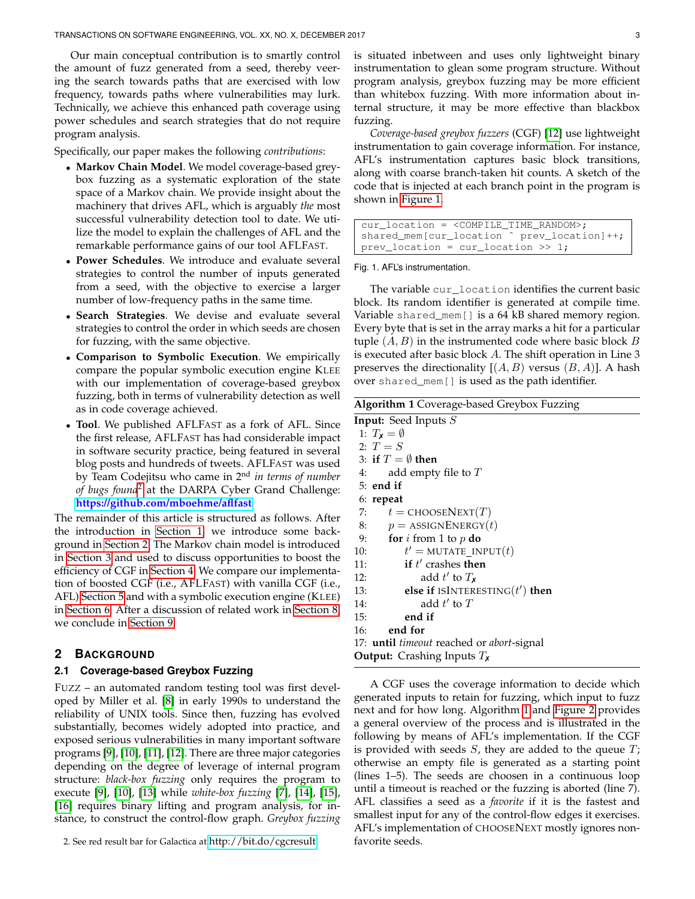Our main conceptual contribution is to smartly control the amount of fuzz generated from a seed, thereby veering the search towards paths that are exercised with low frequency, towards paths where vulnerabilities may lurk. Technically, we achieve this enhanced path coverage using power schedules and search strategies that do not require program analysis.

Specifically, our paper makes the following *contributions*:

- **Markov Chain Model**. We model coverage-based greybox fuzzing as a systematic exploration of the state space of a Markov chain. We provide insight about the machinery that drives AFL, which is arguably *the* most successful vulnerability detection tool to date. We utilize the model to explain the challenges of AFL and the remarkable performance gains of our tool AFLFAST.
- **Power Schedules**. We introduce and evaluate several strategies to control the number of inputs generated from a seed, with the objective to exercise a larger number of low-frequency paths in the same time.
- **Search Strategies**. We devise and evaluate several strategies to control the order in which seeds are chosen for fuzzing, with the same objective.
- **Comparison to Symbolic Execution**. We empirically compare the popular symbolic execution engine KLEE with our implementation of coverage-based greybox fuzzing, both in terms of vulnerability detection as well as in code coverage achieved.
- **Tool**. We published AFLFAST as a fork of AFL. Since the first release, AFLFAST has had considerable impact in software security practice, being featured in several blog posts and hundreds of tweets. AFLFAST was used by Team Codejitsu who came in 2nd *in terms of number of bugs found*[2](#page-2-0) at the DARPA Cyber Grand Challenge: **<https://github.com/mboehme/aflfast>**

The remainder of this article is structured as follows. After the introduction in [Section 1,](#page-0-0) we introduce some background in [Section 2.](#page-2-1) The Markov chain model is introduced in [Section 3](#page-4-0) and used to discuss opportunities to boost the efficiency of CGF in [Section 4.](#page-6-0) We compare our implementation of boosted CGF (i.e., AFLFAST) with vanilla CGF (i.e., AFL) [Section 5](#page-8-0) and with a symbolic execution engine (KLEE) in [Section 6.](#page-11-0) After a discussion of related work in [Section 8,](#page-15-0) we conclude in [Section 9.](#page-16-7)

# <span id="page-2-1"></span>**2 BACKGROUND**

# <span id="page-2-4"></span>**2.1 Coverage-based Greybox Fuzzing**

FUZZ – an automated random testing tool was first developed by Miller et al. [\[8\]](#page-16-8) in early 1990s to understand the reliability of UNIX tools. Since then, fuzzing has evolved substantially, becomes widely adopted into practice, and exposed serious vulnerabilities in many important software programs [\[9\]](#page-16-9), [\[10\]](#page-16-10), [\[11\]](#page-16-11), [\[12\]](#page-16-12). There are three major categories depending on the degree of leverage of internal program structure: *black-box fuzzing* only requires the program to execute [\[9\]](#page-16-9), [\[10\]](#page-16-10), [\[13\]](#page-16-13) while *white-box fuzzing* [\[7\]](#page-16-6), [\[14\]](#page-16-14), [\[15\]](#page-16-15), [\[16\]](#page-16-16) requires binary lifting and program analysis, for instance, to construct the control-flow graph. *Greybox fuzzing*

<span id="page-2-0"></span>2. See red result bar for Galactica at [http://bit.do/cgcresult.](http://bit.do/cgcresult)

is situated inbetween and uses only lightweight binary instrumentation to glean some program structure. Without program analysis, greybox fuzzing may be more efficient than whitebox fuzzing. With more information about internal structure, it may be more effective than blackbox fuzzing.

*Coverage-based greybox fuzzers* (CGF) [\[12\]](#page-16-12) use lightweight instrumentation to gain coverage information. For instance, AFL's instrumentation captures basic block transitions, along with coarse branch-taken hit counts. A sketch of the code that is injected at each branch point in the program is shown in [Figure 1.](#page-2-2)

```
cur_location = <COMPILE_TIME_RANDOM>;
shared_mem[cur_location ^ prev_location]++;
prev_location = cur_location >> 1;
```
Fig. 1. AFL's instrumentation.

The variable cur\_location identifies the current basic block. Its random identifier is generated at compile time. Variable shared\_mem[] is a 64 kB shared memory region. Every byte that is set in the array marks a hit for a particular tuple  $(A, B)$  in the instrumented code where basic block B is executed after basic block A. The shift operation in Line 3 preserves the directionality  $[(A, B)$  versus  $(B, A)]$ . A hash over shared mem[] is used as the path identifier.

<span id="page-2-3"></span>

| Algorithm 1 Coverage-based Greybox Fuzzing                                                                        |
|-------------------------------------------------------------------------------------------------------------------|
| <b>Input:</b> Seed Inputs $S$                                                                                     |
| 1: $T_{\mathbf{x}} = \emptyset$                                                                                   |
| 2: $T = S$                                                                                                        |
| 3: if $T = \emptyset$ then                                                                                        |
| 4: add empty file to $T$                                                                                          |
| $5:$ end if                                                                                                       |
| 6: repeat                                                                                                         |
| 7:<br>$t =$ CHOOSENEXT $(T)$                                                                                      |
| $p =$ ASSIGNENERGY $(t)$<br>8:                                                                                    |
| 9: for <i>i</i> from 1 to $p$ do                                                                                  |
| $t' = \text{MULTATE\_INPUT}(t)$<br>10:                                                                            |
| if $t'$ crashes then<br>11:                                                                                       |
| add $t'$ to $T_{\mathbf{x}}$<br>12:                                                                               |
| else if ISINTERESTING $(t')$ then<br>13:                                                                          |
| add $t'$ to $T$<br>14:                                                                                            |
| end if<br>15:                                                                                                     |
| end for<br>16:                                                                                                    |
| 17: <b>until</b> <i>timeout</i> reached or <i>abort</i> -signal                                                   |
| <b>Output:</b> Crashing Inputs $T_{\chi}$                                                                         |
| A CGF uses the coverage information to decide which<br>concepted inpute to rotain for fuzzing which input to fuzz |

generated inputs to retain for fuzzing, which input to fuzz next and for how long. Algorithm [1](#page-2-3) and [Figure 2](#page-3-0) provides a general overview of the process and is illustrated in the following by means of AFL's implementation. If the CGF is provided with seeds  $S$ , they are added to the queue  $T$ ; otherwise an empty file is generated as a starting point (lines 1–5). The seeds are choosen in a continuous loop until a timeout is reached or the fuzzing is aborted (line 7). AFL classifies a seed as a *favorite* if it is the fastest and smallest input for any of the control-flow edges it exercises. AFL's implementation of CHOOSENEXT mostly ignores nonfavorite seeds.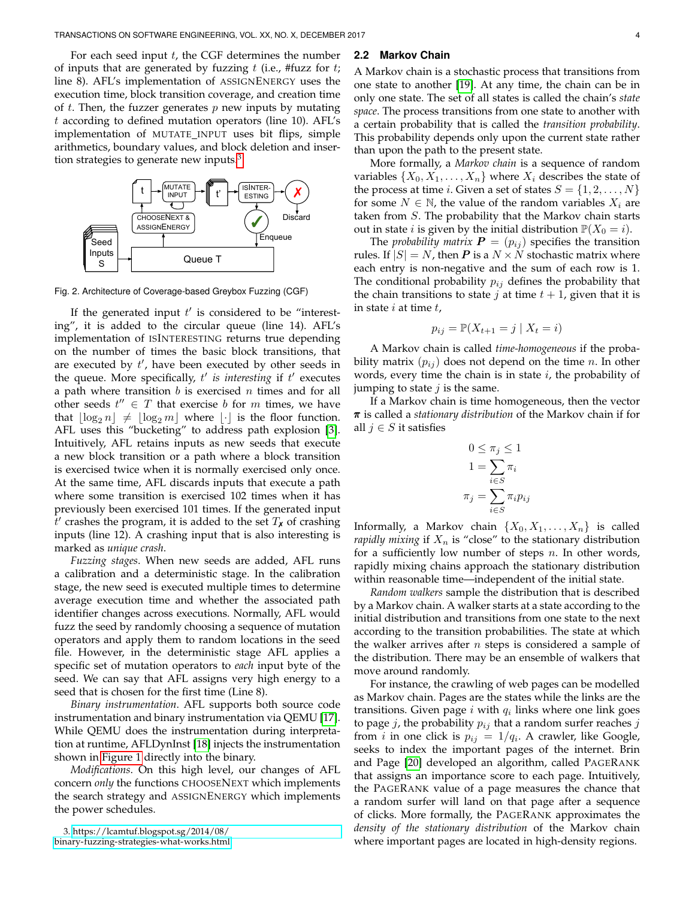For each seed input  $t$ , the CGF determines the number of inputs that are generated by fuzzing  $t$  (i.e., #fuzz for  $t$ ; line 8). AFL's implementation of ASSIGNENERGY uses the execution time, block transition coverage, and creation time of  $t$ . Then, the fuzzer generates  $p$  new inputs by mutating t according to defined mutation operators (line 10). AFL's implementation of MUTATE INPUT uses bit flips, simple arithmetics, boundary values, and block deletion and inser-tion strategies to generate new inputs.<sup>[3](#page-3-1)</sup>



Fig. 2. Architecture of Coverage-based Greybox Fuzzing (CGF)

If the generated input  $t'$  is considered to be "interesting", it is added to the circular queue (line 14). AFL's implementation of ISINTERESTING returns true depending on the number of times the basic block transitions, that are executed by  $t'$ , have been executed by other seeds in the queue. More specifically,  $t'$  is interesting if  $t'$  executes a path where transition  $b$  is exercised  $n$  times and for all other seeds  $t'' \in T$  that exercise b for m times, we have that  $\lfloor \log_2 n \rfloor \neq \lfloor \log_2 m \rfloor$  where  $\lfloor \cdot \rfloor$  is the floor function. AFL uses this "bucketing" to address path explosion [\[3\]](#page-16-1). Intuitively, AFL retains inputs as new seeds that execute a new block transition or a path where a block transition is exercised twice when it is normally exercised only once. At the same time, AFL discards inputs that execute a path where some transition is exercised 102 times when it has previously been exercised 101 times. If the generated input  $\bar{t}'$  crashes the program, it is added to the set  $T_{\mathbf{x}}$  of crashing inputs (line 12). A crashing input that is also interesting is marked as *unique crash*.

*Fuzzing stages*. When new seeds are added, AFL runs a calibration and a deterministic stage. In the calibration stage, the new seed is executed multiple times to determine average execution time and whether the associated path identifier changes across executions. Normally, AFL would fuzz the seed by randomly choosing a sequence of mutation operators and apply them to random locations in the seed file. However, in the deterministic stage AFL applies a specific set of mutation operators to *each* input byte of the seed. We can say that AFL assigns very high energy to a seed that is chosen for the first time (Line 8).

*Binary instrumentation*. AFL supports both source code instrumentation and binary instrumentation via QEMU [\[17\]](#page-16-17). While QEMU does the instrumentation during interpretation at runtime, AFLDynInst [\[18\]](#page-16-18) injects the instrumentation shown in [Figure 1](#page-2-2) directly into the binary.

*Modifications*. On this high level, our changes of AFL concern *only* the functions CHOOSENEXT which implements the search strategy and ASSIGNENERGY which implements the power schedules.

<span id="page-3-1"></span>3. [https://lcamtuf.blogspot.sg/2014/08/](https://lcamtuf.blogspot.sg/2014/08/binary-fuzzing-strategies-what-works.html) [binary-fuzzing-strategies-what-works.html](https://lcamtuf.blogspot.sg/2014/08/binary-fuzzing-strategies-what-works.html)

# **2.2 Markov Chain**

A Markov chain is a stochastic process that transitions from one state to another [\[19\]](#page-16-19). At any time, the chain can be in only one state. The set of all states is called the chain's *state space*. The process transitions from one state to another with a certain probability that is called the *transition probability*. This probability depends only upon the current state rather than upon the path to the present state.

More formally, a *Markov chain* is a sequence of random variables  $\{X_0, X_1, \ldots, X_n\}$  where  $X_i$  describes the state of the process at time *i*. Given a set of states  $S = \{1, 2, \ldots, N\}$ for some  $N \in \mathbb{N}$ , the value of the random variables  $X_i$  are taken from  $S$ . The probability that the Markov chain starts out in state *i* is given by the initial distribution  $\mathbb{P}(X_0 = i)$ .

<span id="page-3-0"></span>The *probability matrix*  $\boldsymbol{P} = (p_{ij})$  specifies the transition rules. If  $|S| = N$ , then **P** is a  $N \times N$  stochastic matrix where each entry is non-negative and the sum of each row is 1. The conditional probability  $p_{ij}$  defines the probability that the chain transitions to state  $j$  at time  $t + 1$ , given that it is in state  $i$  at time  $t$ ,

$$
p_{ij} = \mathbb{P}(X_{t+1} = j \mid X_t = i)
$$

A Markov chain is called *time-homogeneous* if the probability matrix  $(p_{ij})$  does not depend on the time n. In other words, every time the chain is in state  $i$ , the probability of jumping to state  $j$  is the same.

If a Markov chain is time homogeneous, then the vector π is called a *stationary distribution* of the Markov chain if for all  $j \in S$  it satisfies

$$
0 \le \pi_j \le 1
$$

$$
1 = \sum_{i \in S} \pi_i
$$

$$
\pi_j = \sum_{i \in S} \pi_i p_{ij}
$$

Informally, a Markov chain  $\{X_0, X_1, \ldots, X_n\}$  is called *rapidly mixing* if  $X_n$  is "close" to the stationary distribution for a sufficiently low number of steps  $n$ . In other words, rapidly mixing chains approach the stationary distribution within reasonable time—independent of the initial state.

*Random walkers* sample the distribution that is described by a Markov chain. A walker starts at a state according to the initial distribution and transitions from one state to the next according to the transition probabilities. The state at which the walker arrives after  $n$  steps is considered a sample of the distribution. There may be an ensemble of walkers that move around randomly.

For instance, the crawling of web pages can be modelled as Markov chain. Pages are the states while the links are the transitions. Given page  $i$  with  $q_i$  links where one link goes to page *j*, the probability  $p_{ij}$  that a random surfer reaches *j* from *i* in one click is  $p_{ij} = 1/q_i$ . A crawler, like Google, seeks to index the important pages of the internet. Brin and Page [\[20\]](#page-16-20) developed an algorithm, called PAGERANK that assigns an importance score to each page. Intuitively, the PAGERANK value of a page measures the chance that a random surfer will land on that page after a sequence of clicks. More formally, the PAGERANK approximates the *density of the stationary distribution* of the Markov chain where important pages are located in high-density regions.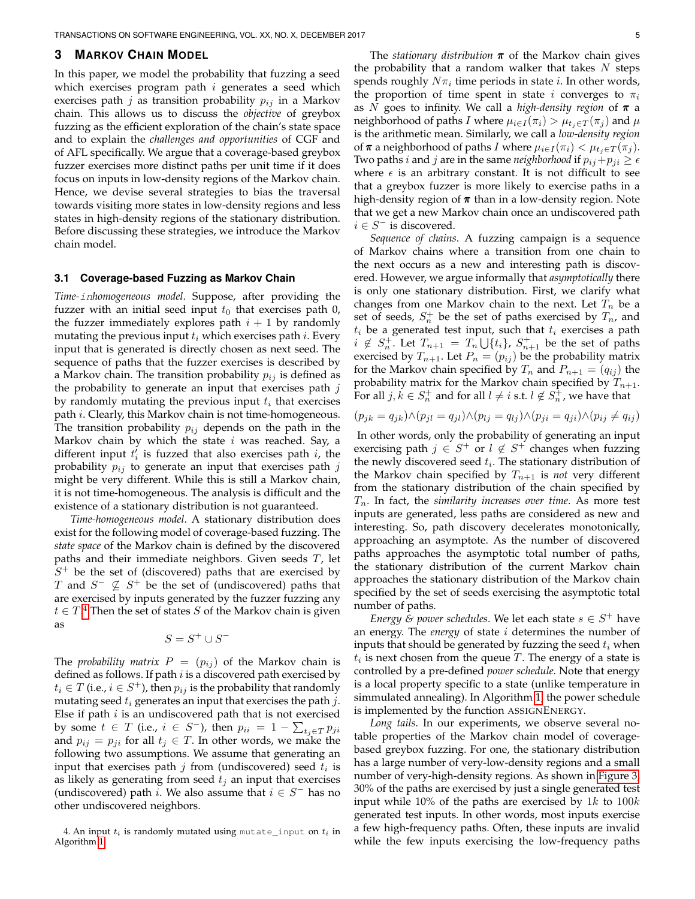# <span id="page-4-0"></span>**3 MARKOV CHAIN MODEL**

In this paper, we model the probability that fuzzing a seed which exercises program path  $i$  generates a seed which exercises path j as transition probability  $p_{ij}$  in a Markov chain. This allows us to discuss the *objective* of greybox fuzzing as the efficient exploration of the chain's state space and to explain the *challenges and opportunities* of CGF and of AFL specifically. We argue that a coverage-based greybox fuzzer exercises more distinct paths per unit time if it does focus on inputs in low-density regions of the Markov chain. Hence, we devise several strategies to bias the traversal towards visiting more states in low-density regions and less states in high-density regions of the stationary distribution. Before discussing these strategies, we introduce the Markov chain model.

#### **3.1 Coverage-based Fuzzing as Markov Chain**

*Time-*in*homogeneous model*. Suppose, after providing the fuzzer with an initial seed input  $t_0$  that exercises path 0, the fuzzer immediately explores path  $i + 1$  by randomly mutating the previous input  $t_i$  which exercises path  $i$ . Every input that is generated is directly chosen as next seed. The sequence of paths that the fuzzer exercises is described by a Markov chain. The transition probability  $p_{ij}$  is defined as the probability to generate an input that exercises path  $j$ by randomly mutating the previous input  $t_i$  that exercises path i. Clearly, this Markov chain is not time-homogeneous. The transition probability  $p_{ij}$  depends on the path in the Markov chain by which the state  $i$  was reached. Say, a different input  $t_i^j$  is fuzzed that also exercises path  $i$ , the probability  $p_{ij}$  to generate an input that exercises path  $j$ might be very different. While this is still a Markov chain, it is not time-homogeneous. The analysis is difficult and the existence of a stationary distribution is not guaranteed.

*Time-homogeneous model*. A stationary distribution does exist for the following model of coverage-based fuzzing. The *state space* of the Markov chain is defined by the discovered paths and their immediate neighbors. Given seeds T, let  $S<sup>+</sup>$  be the set of (discovered) paths that are exercised by T and  $S^- \nsubseteq S^+$  be the set of (undiscovered) paths that are exercised by inputs generated by the fuzzer fuzzing any  $t \in T$ .<sup>[4](#page-4-1)</sup> Then the set of states S of the Markov chain is given as

$$
S=S^+\cup S^-
$$

The *probability matrix*  $P = (p_{ij})$  of the Markov chain is defined as follows. If path  $i$  is a discovered path exercised by  $t_i \in T$  (i.e.,  $i \in S^+$ ), then  $p_{ij}$  is the probability that randomly mutating seed  $t_i$  generates an input that exercises the path  $j$ . Else if path  $i$  is an undiscovered path that is not exercised by some  $t \in T$  (i.e.,  $i \in S^-$ ), then  $p_{ii} = 1 - \sum_{t_j \in T} p_{ji}$ and  $p_{ij} = p_{ji}$  for all  $t_j \in T$ . In other words, we make the following two assumptions. We assume that generating an input that exercises path  $j$  from (undiscovered) seed  $t_i$  is as likely as generating from seed  $t_j$  an input that exercises (undiscovered) path *i*. We also assume that  $i \in S^-$  has no other undiscovered neighbors.

The *stationary distribution* π of the Markov chain gives the probability that a random walker that takes  $N$  steps spends roughly  $N\pi_i$  time periods in state *i*. In other words, the proportion of time spent in state i converges to  $\pi_i$ as N goes to infinity. We call a *high-density region* of π a neighborhood of paths I where  $\mu_{i\in I}(\pi_i) > \mu_{t_i \in T}(\pi_j)$  and  $\mu$ is the arithmetic mean. Similarly, we call a *low-density region* of  $\pi$  a neighborhood of paths I where  $\mu_{i \in I}(\pi_i) < \mu_{t_i \in T}(\pi_j)$ . Two paths *i* and *j* are in the same *neighborhood* if  $p_{ij} + p_{ji} \ge \epsilon$ where  $\epsilon$  is an arbitrary constant. It is not difficult to see that a greybox fuzzer is more likely to exercise paths in a high-density region of  $\pi$  than in a low-density region. Note that we get a new Markov chain once an undiscovered path  $i \in S^-$  is discovered.

*Sequence of chains*. A fuzzing campaign is a sequence of Markov chains where a transition from one chain to the next occurs as a new and interesting path is discovered. However, we argue informally that *asymptotically* there is only one stationary distribution. First, we clarify what changes from one Markov chain to the next. Let  $T_n$  be a set of seeds,  $S_n^+$  be the set of paths exercised by  $T_n$ , and  $t_i$  be a generated test input, such that  $t_i$  exercises a path  $i \notin S_n^+$ . Let  $T_{n+1} = T_n \bigcup \{t_i\}$ ,  $S_{n+1}^+$  be the set of paths exercised by  $T_{n+1}$ . Let  $P_n = (p_{ij})$  be the probability matrix for the Markov chain specified by  $T_n$  and  $P_{n+1} = (q_{ij})$  the probability matrix for the Markov chain specified by  $T_{n+1}$ . For all  $j, k \in S_n^+$  and for all  $l \neq i$  s.t.  $l \notin S_n^+$ , we have that

$$
(p_{jk} = q_{jk}) \wedge (p_{jl} = q_{jl}) \wedge (p_{lj} = q_{lj}) \wedge (p_{ji} = q_{ji}) \wedge (p_{ij} \neq q_{ij})
$$

In other words, only the probability of generating an input exercising path  $j \in S^+$  or  $l \notin S^+$  changes when fuzzing the newly discovered seed  $t_i$ . The stationary distribution of the Markov chain specified by  $T_{n+1}$  is *not* very different from the stationary distribution of the chain specified by  $T_n$ . In fact, the *similarity increases over time*. As more test inputs are generated, less paths are considered as new and interesting. So, path discovery decelerates monotonically, approaching an asymptote. As the number of discovered paths approaches the asymptotic total number of paths, the stationary distribution of the current Markov chain approaches the stationary distribution of the Markov chain specified by the set of seeds exercising the asymptotic total number of paths.

*Energy & power schedules.* We let each state  $s \in S^+$  have an energy. The *energy* of state i determines the number of inputs that should be generated by fuzzing the seed  $t_i$  when  $t_i$  is next chosen from the queue  $T$ . The energy of a state is controlled by a pre-defined *power schedule*. Note that energy is a local property specific to a state (unlike temperature in simmulated annealing). In Algorithm [1,](#page-2-3) the power schedule is implemented by the function ASSIGNENERGY.

*Long tails*. In our experiments, we observe several notable properties of the Markov chain model of coveragebased greybox fuzzing. For one, the stationary distribution has a large number of very-low-density regions and a small number of very-high-density regions. As shown in [Figure 3,](#page-5-0) 30% of the paths are exercised by just a single generated test input while 10% of the paths are exercised by  $1k$  to  $100k$ generated test inputs. In other words, most inputs exercise a few high-frequency paths. Often, these inputs are invalid while the few inputs exercising the low-frequency paths

<span id="page-4-1"></span><sup>4.</sup> An input  $t_i$  is randomly mutated using mutate\_input on  $t_i$  in Algorithm [1.](#page-2-3)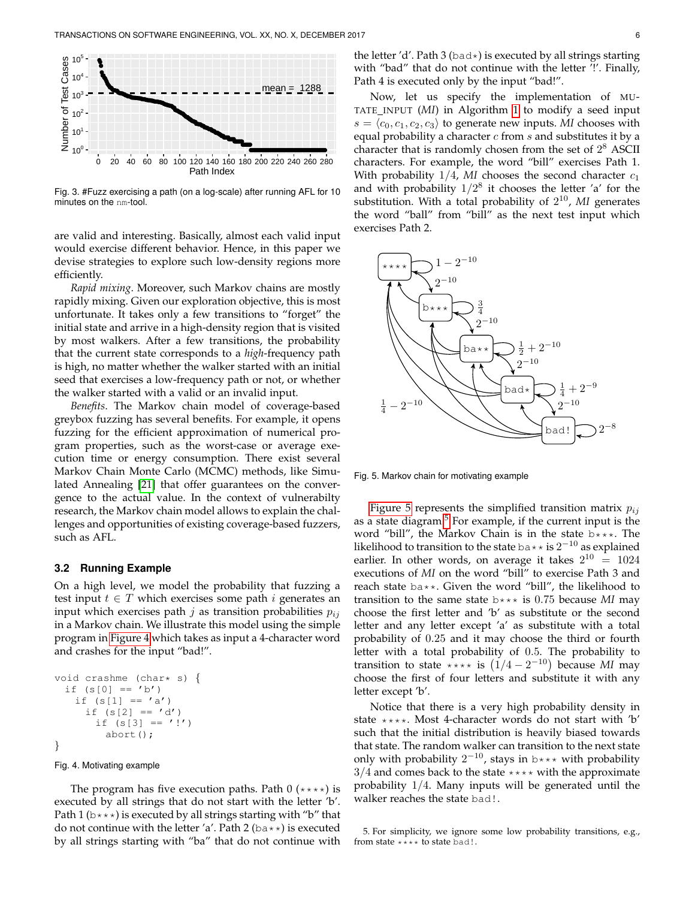

<span id="page-5-0"></span>Fig. 3. #Fuzz exercising a path (on a log-scale) after running AFL for 10 minutes on the nm-tool.

are valid and interesting. Basically, almost each valid input would exercise different behavior. Hence, in this paper we devise strategies to explore such low-density regions more efficiently.

*Rapid mixing*. Moreover, such Markov chains are mostly rapidly mixing. Given our exploration objective, this is most unfortunate. It takes only a few transitions to "forget" the initial state and arrive in a high-density region that is visited by most walkers. After a few transitions, the probability that the current state corresponds to a *high*-frequency path is high, no matter whether the walker started with an initial seed that exercises a low-frequency path or not, or whether the walker started with a valid or an invalid input.

*Benefits*. The Markov chain model of coverage-based greybox fuzzing has several benefits. For example, it opens fuzzing for the efficient approximation of numerical program properties, such as the worst-case or average execution time or energy consumption. There exist several Markov Chain Monte Carlo (MCMC) methods, like Simulated Annealing [\[21\]](#page-16-21) that offer guarantees on the convergence to the actual value. In the context of vulnerabilty research, the Markov chain model allows to explain the challenges and opportunities of existing coverage-based fuzzers, such as AFL.

# **3.2 Running Example**

On a high level, we model the probability that fuzzing a test input  $t \in T$  which exercises some path i generates an input which exercises path  $j$  as transition probabilities  $p_{ij}$ in a Markov chain. We illustrate this model using the simple program in [Figure 4](#page-5-1) which takes as input a 4-character word and crashes for the input "bad!".

```
void crashme (char* s) {
 if (s[0] == 'b')if (s[1] == 'a')if (s[2] == 'd')if (s[3] == '!!')abort();
}
```
# Fig. 4. Motivating example

The program has five execution paths. Path  $0$  ( $\star \star \star$ ) is executed by all strings that do not start with the letter 'b'. Path 1 ( $b***$ ) is executed by all strings starting with "b" that do not continue with the letter 'a'. Path 2 ( $\text{ba}**$ ) is executed by all strings starting with "ba" that do not continue with

the letter 'd'. Path 3 (bad\*) is executed by all strings starting with "bad" that do not continue with the letter '!'. Finally, Path 4 is executed only by the input "bad!".

Now, let us specify the implementation of MU-TATE INPUT (*MI*) in Algorithm [1](#page-2-3) to modify a seed input  $s = \langle c_0, c_1, c_2, c_3 \rangle$  to generate new inputs. *MI* chooses with equal probability a character  $c$  from  $s$  and substitutes it by a character that is randomly chosen from the set of  $2<sup>8</sup>$  ASCII characters. For example, the word "bill" exercises Path 1. With probability  $1/4$ , *MI* chooses the second character  $c_1$ and with probability  $1/2^8$  it chooses the letter 'a' for the substitution. With a total probability of 2 10 , *MI* generates the word "ball" from "bill" as the next test input which exercises Path 2.



<span id="page-5-2"></span>Fig. 5. Markov chain for motivating example

[Figure 5](#page-5-2) represents the simplified transition matrix  $p_{ij}$ as a state diagram. $5$  For example, if the current input is the word "bill", the Markov Chain is in the state  $b***$ . The likelihood to transition to the state ba $\star\star$  is  $2^{-10}$  as explained earlier. In other words, on average it takes  $2^{10} = 1024$ executions of *MI* on the word "bill" to exercise Path 3 and reach state ba\*\*. Given the word "bill", the likelihood to transition to the same state  $b***$  is 0.75 because *MI* may choose the first letter and 'b' as substitute or the second letter and any letter except 'a' as substitute with a total probability of 0.25 and it may choose the third or fourth letter with a total probability of 0.5. The probability to transition to state \*\*\*\* is  $(1/4-2^{-10})$  because MI may choose the first of four letters and substitute it with any letter except 'b'.

<span id="page-5-1"></span>Notice that there is a very high probability density in state \*\*\*\*. Most 4-character words do not start with 'b' such that the initial distribution is heavily biased towards that state. The random walker can transition to the next state only with probability  $2^{-10}$ , stays in b\*\*\* with probability  $3/4$  and comes back to the state  $***$  with the approximate probability 1/4. Many inputs will be generated until the walker reaches the state bad!.

<span id="page-5-3"></span><sup>5.</sup> For simplicity, we ignore some low probability transitions, e.g., from state \*\*\*\* to state bad!.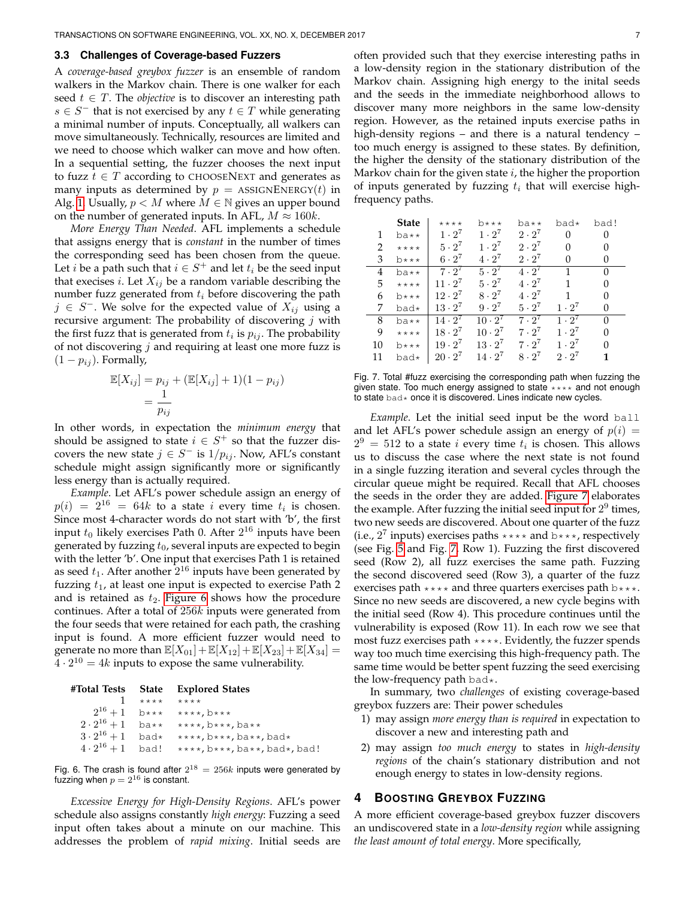#### **3.3 Challenges of Coverage-based Fuzzers**

A *coverage-based greybox fuzzer* is an ensemble of random walkers in the Markov chain. There is one walker for each seed  $t \in T$ . The *objective* is to discover an interesting path  $s \in S^-$  that is not exercised by any  $t \in T$  while generating a minimal number of inputs. Conceptually, all walkers can move simultaneously. Technically, resources are limited and we need to choose which walker can move and how often. In a sequential setting, the fuzzer chooses the next input to fuzz  $t \in T$  according to CHOOSENEXT and generates as many inputs as determined by  $p =$  ASSIGNENERGY(t) in Alg. [1.](#page-2-3) Usually,  $p < M$  where  $M \in \mathbb{N}$  gives an upper bound on the number of generated inputs. In AFL,  $M \approx 160k$ .

*More Energy Than Needed*. AFL implements a schedule that assigns energy that is *constant* in the number of times the corresponding seed has been chosen from the queue. Let *i* be a path such that  $i \in S^+$  and let  $t_i$  be the seed input that execises *i*. Let  $X_{ij}$  be a random variable describing the number fuzz generated from  $t_i$  before discovering the path  $j \in S^-$ . We solve for the expected value of  $X_{ij}$  using a recursive argument: The probability of discovering  $j$  with the first fuzz that is generated from  $t_i$  is  $p_{ij}$ . The probability of not discovering  $j$  and requiring at least one more fuzz is  $(1 - p_{ij})$ . Formally,

$$
\mathbb{E}[X_{ij}] = p_{ij} + (\mathbb{E}[X_{ij}] + 1)(1 - p_{ij})
$$
  
= 
$$
\frac{1}{p_{ij}}
$$

In other words, in expectation the *minimum energy* that should be assigned to state  $i \in S^+$  so that the fuzzer discovers the new state  $j \in S^-$  is  $1/p_{ij}$ . Now, AFL's constant schedule might assign significantly more or significantly less energy than is actually required.

*Example*. Let AFL's power schedule assign an energy of  $p(i) = 2^{16} = 64k$  to a state i every time  $t_i$  is chosen. Since most 4-character words do not start with 'b', the first input  $t_0$  likely exercises Path 0. After  $2^{16}$  inputs have been generated by fuzzing  $t_0$ , several inputs are expected to begin with the letter 'b'. One input that exercises Path 1 is retained as seed  $t_1$ . After another  $2^{16}$  inputs have been generated by fuzzing  $t_1$ , at least one input is expected to exercise Path 2 and is retained as  $t_2$ . [Figure 6](#page-6-1) shows how the procedure continues. After a total of 256k inputs were generated from the four seeds that were retained for each path, the crashing input is found. A more efficient fuzzer would need to generate no more than  $\mathbb{E}[X_{01}]+\mathbb{E}[X_{12}]+\mathbb{E}[X_{23}]+\mathbb{E}[X_{34}]=$  $4 \cdot 2^{10} = 4k$  inputs to expose the same vulnerability.

|                           |       | #Total Tests State Explored States   |
|---------------------------|-------|--------------------------------------|
|                           | $***$ | $***$                                |
| $2^{16} + 1$ b***         |       | $***$ , b***                         |
| $2 \cdot 2^{16} + 1$ ba** |       | $***.$ b ***. ba**                   |
| $3 \cdot 2^{16} + 1$ bad* |       | $***$ , $b***$ , $b$ a $**$ , $bad*$ |
| $4 \cdot 2^{16} + 1$ bad! |       | ****, b***, ba**, bad*, bad!         |

Fig. 6. The crash is found after  $2^{18} = 256k$  inputs were generated by fuzzing when  $p = 2^{16}$  is constant.

*Excessive Energy for High-Density Regions*. AFL's power schedule also assigns constantly *high energy*: Fuzzing a seed input often takes about a minute on our machine. This addresses the problem of *rapid mixing*. Initial seeds are often provided such that they exercise interesting paths in a low-density region in the stationary distribution of the Markov chain. Assigning high energy to the inital seeds and the seeds in the immediate neighborhood allows to discover many more neighbors in the same low-density region. However, as the retained inputs exercise paths in high-density regions – and there is a natural tendency – too much energy is assigned to these states. By definition, the higher the density of the stationary distribution of the Markov chain for the given state  $i$ , the higher the proportion of inputs generated by fuzzing  $t_i$  that will exercise highfrequency paths.

<span id="page-6-2"></span>

|    | <b>State</b>     | ****            | $h***$         | ba**          | bad*          | bad! |
|----|------------------|-----------------|----------------|---------------|---------------|------|
| 1  | ba**             | $1\cdot 2^7$    | $1\cdot 2^7$   | $2\cdot 2^7$  | 0             |      |
| 2  | $***$            | $5 \cdot 2^7$   | $1 \cdot 2^7$  | $2\cdot 2^7$  |               | 0    |
| 3  | $h***$           | $6 \cdot 2^7$   | $4 \cdot 2^7$  | $2\cdot 2^7$  |               | 0    |
| 4  | $\texttt{ba}$ ** | $7 \cdot 2^{7}$ | $5 \cdot 2^7$  | $4\cdot 2^7$  |               | 0    |
| 5  | $***$ * * *      | $11 \cdot 2^7$  | $5 \cdot 2^7$  | $4 \cdot 2^7$ |               | 0    |
| 6  | $h***$           | $12 \cdot 2^7$  | $8 \cdot 2^7$  | $4 \cdot 2^7$ |               | 0    |
| 7  | bad*             | $13 \cdot 2^7$  | $9 \cdot 2^7$  | $5 \cdot 2^7$ | $1 \cdot 2^7$ | 0    |
| 8  | $\texttt{ba}$ ** | $14 \cdot 2^7$  | $10 \cdot 2^7$ | $7 \cdot 2^7$ | $1 \cdot 2^7$ | 0    |
| 9  | $***$ * * *      | $18 \cdot 2^7$  | $10 \cdot 2^7$ | $7 \cdot 2^7$ | $1 \cdot 2^7$ | 0    |
| 10 | $h***$           | $19 \cdot 2^7$  | $13 \cdot 2^7$ | $7 \cdot 2^7$ | $1 \cdot 2^7$ | 0    |
| 11 | bad*             | $20 \cdot 2^7$  | $14 \cdot 2^7$ | $8 \cdot 2^7$ | $2 \cdot 2^7$ | 1    |

Fig. 7. Total #fuzz exercising the corresponding path when fuzzing the given state. Too much energy assigned to state \*\*\*\* and not enough to state bad\* once it is discovered. Lines indicate new cycles.

*Example*. Let the initial seed input be the word ball and let AFL's power schedule assign an energy of  $p(i) =$  $2^9 = 512$  to a state i every time  $t_i$  is chosen. This allows us to discuss the case where the next state is not found in a single fuzzing iteration and several cycles through the circular queue might be required. Recall that AFL chooses the seeds in the order they are added. [Figure 7](#page-6-2) elaborates the example. After fuzzing the initial seed input for  $2^9$  times, two new seeds are discovered. About one quarter of the fuzz (i.e.,  $2^7$  inputs) exercises paths  $***$  and  $b***$ , respectively (see Fig. [5](#page-5-2) and Fig. [7,](#page-6-2) Row 1). Fuzzing the first discovered seed (Row 2), all fuzz exercises the same path. Fuzzing the second discovered seed (Row 3), a quarter of the fuzz exercises path  $***$  and three quarters exercises path  $b***$ . Since no new seeds are discovered, a new cycle begins with the initial seed (Row 4). This procedure continues until the vulnerability is exposed (Row 11). In each row we see that most fuzz exercises path  $***$ . Evidently, the fuzzer spends way too much time exercising this high-frequency path. The same time would be better spent fuzzing the seed exercising the low-frequency path bad $\star$ .

In summary, two *challenges* of existing coverage-based greybox fuzzers are: Their power schedules

- <span id="page-6-1"></span>1) may assign *more energy than is required* in expectation to discover a new and interesting path and
- 2) may assign *too much energy* to states in *high-density regions* of the chain's stationary distribution and not enough energy to states in low-density regions.

# <span id="page-6-0"></span>**4 BOOSTING GREYBOX FUZZING**

A more efficient coverage-based greybox fuzzer discovers an undiscovered state in a *low-density region* while assigning *the least amount of total energy*. More specifically,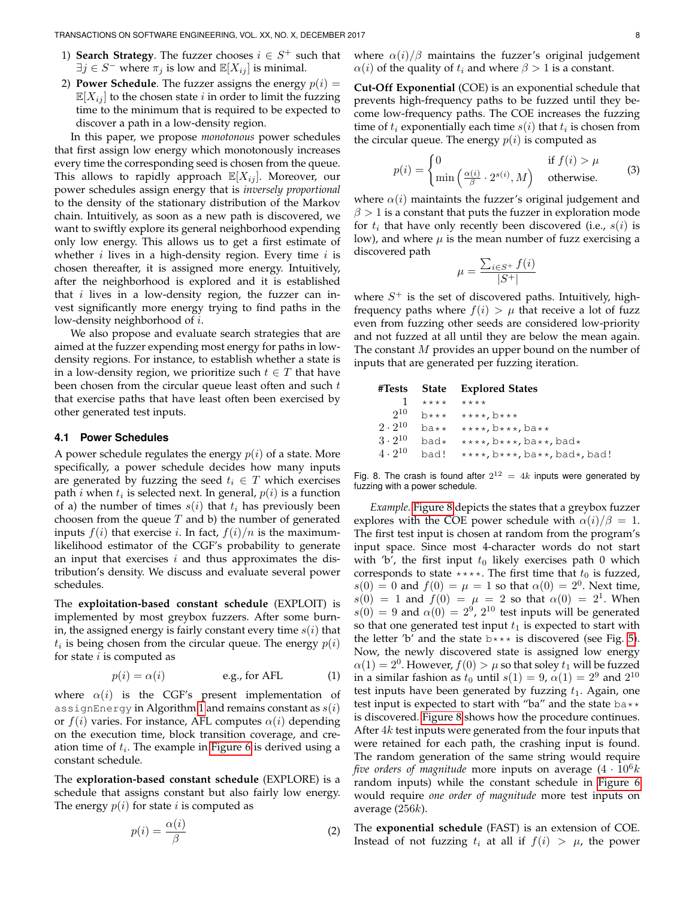- 1) **Search Strategy**. The fuzzer chooses  $i \in S^+$  such that  $\exists j \in S^-$  where  $\pi_j$  is low and  $\mathbb{E}[X_{ij}]$  is minimal.
- 2) **Power Schedule**. The fuzzer assigns the energy  $p(i)$  =  $\mathbb{E}[X_{ij}]$  to the chosen state i in order to limit the fuzzing time to the minimum that is required to be expected to discover a path in a low-density region.

In this paper, we propose *monotonous* power schedules that first assign low energy which monotonously increases every time the corresponding seed is chosen from the queue. This allows to rapidly approach  $\mathbb{E}[X_{ij}]$ . Moreover, our power schedules assign energy that is *inversely proportional* to the density of the stationary distribution of the Markov chain. Intuitively, as soon as a new path is discovered, we want to swiftly explore its general neighborhood expending only low energy. This allows us to get a first estimate of whether  $i$  lives in a high-density region. Every time  $i$  is chosen thereafter, it is assigned more energy. Intuitively, after the neighborhood is explored and it is established that  $i$  lives in a low-density region, the fuzzer can invest significantly more energy trying to find paths in the low-density neighborhood of i.

We also propose and evaluate search strategies that are aimed at the fuzzer expending most energy for paths in lowdensity regions. For instance, to establish whether a state is in a low-density region, we prioritize such  $t \in T$  that have been chosen from the circular queue least often and such  $t$ that exercise paths that have least often been exercised by other generated test inputs.

# **4.1 Power Schedules**

A power schedule regulates the energy  $p(i)$  of a state. More specifically, a power schedule decides how many inputs are generated by fuzzing the seed  $t_i \in T$  which exercises path  $i$  when  $t_i$  is selected next. In general,  $p(i)$  is a function of a) the number of times  $s(i)$  that  $t_i$  has previously been choosen from the queue  $T$  and b) the number of generated inputs  $f(i)$  that exercise i. In fact,  $f(i)/n$  is the maximumlikelihood estimator of the CGF's probability to generate an input that exercises  $i$  and thus approximates the distribution's density. We discuss and evaluate several power schedules.

The **exploitation-based constant schedule** (EXPLOIT) is implemented by most greybox fuzzers. After some burnin, the assigned energy is fairly constant every time  $s(i)$  that  $t_i$  is being chosen from the circular queue. The energy  $p(i)$ for state  $i$  is computed as

$$
p(i) = \alpha(i) \qquad \qquad \text{e.g., for AFL} \tag{1}
$$

where  $\alpha(i)$  is the CGF's present implementation of assignEnergy in Algorithm [1](#page-2-3) and remains constant as  $s(i)$ or  $f(i)$  varies. For instance, AFL computes  $\alpha(i)$  depending on the execution time, block transition coverage, and creation time of  $t_i$ . The example in [Figure 6](#page-6-1) is derived using a constant schedule.

The **exploration-based constant schedule** (EXPLORE) is a schedule that assigns constant but also fairly low energy. The energy  $p(i)$  for state i is computed as

$$
p(i) = \frac{\alpha(i)}{\beta} \tag{2}
$$

where  $\alpha(i)/\beta$  maintains the fuzzer's original judgement  $\alpha(i)$  of the quality of  $t_i$  and where  $\beta > 1$  is a constant.

**Cut-Off Exponential** (COE) is an exponential schedule that prevents high-frequency paths to be fuzzed until they become low-frequency paths. The COE increases the fuzzing time of  $t_i$  exponentially each time  $s(i)$  that  $t_i$  is chosen from the circular queue. The energy  $p(i)$  is computed as

$$
p(i) = \begin{cases} 0 & \text{if } f(i) > \mu \\ \min\left(\frac{\alpha(i)}{\beta} \cdot 2^{s(i)}, M\right) & \text{otherwise.} \end{cases}
$$
 (3)

where  $\alpha(i)$  maintaints the fuzzer's original judgement and  $\beta > 1$  is a constant that puts the fuzzer in exploration mode for  $t_i$  that have only recently been discovered (i.e.,  $s(i)$  is low), and where  $\mu$  is the mean number of fuzz exercising a discovered path

<span id="page-7-0"></span>
$$
\mu = \frac{\sum_{i \in S^+} f(i)}{|S^+|}
$$

where  $S^+$  is the set of discovered paths. Intuitively, highfrequency paths where  $f(i) > \mu$  that receive a lot of fuzz even from fuzzing other seeds are considered low-priority and not fuzzed at all until they are below the mean again. The constant M provides an upper bound on the number of inputs that are generated per fuzzing iteration.

| #Tests           | <b>State</b>  | <b>Explored States</b>                    |
|------------------|---------------|-------------------------------------------|
|                  | $***$ *       | ****                                      |
| $2^{10}$         | $h***$        | $***$ , $b***$                            |
| $2 \cdot 2^{10}$ | $\text{ba}**$ | $***, b***, ba**$                         |
| $3 \cdot 2^{10}$ | bad*          | $***, b***, ba**, bad*$                   |
| $4 \cdot 2^{10}$ | bad!          | $***$ , $b***$ , $ba**$ , $bad*$ , $bad!$ |
|                  |               |                                           |

Fig. 8. The crash is found after  $2^{12} = 4k$  inputs were generated by fuzzing with a power schedule.

*Example*. [Figure 8](#page-7-0) depicts the states that a greybox fuzzer explores with the COE power schedule with  $\alpha(i)/\beta = 1$ . The first test input is chosen at random from the program's input space. Since most 4-character words do not start with 'b', the first input  $t_0$  likely exercises path 0 which corresponds to state \*\*\*\*. The first time that  $t_0$  is fuzzed,  $s(0) = 0$  and  $f(0) = \mu = 1$  so that  $\alpha(0) = 2^0$ . Next time,  $s(0) = 1$  and  $f(0) = \mu = 2$  so that  $\alpha(0) = 2^1$ . When  $s(0) = 9$  and  $\alpha(0) = 2^9$ ,  $2^{10}$  test inputs will be generated so that one generated test input  $t_1$  is expected to start with the letter 'b' and the state  $b***$  is discovered (see Fig. [5\)](#page-5-2). Now, the newly discovered state is assigned low energy  $\alpha(1) = 2^0$ . However,  $f(0) > \mu$  so that soley  $t_1$  will be fuzzed in a similar fashion as  $t_0$  until  $s(1) = 9$ ,  $\alpha(1) = 2^9$  and  $2^{10}$ test inputs have been generated by fuzzing  $t_1$ . Again, one test input is expected to start with "ba" and the state  $\mathtt{ba}\ast\ast$ is discovered. [Figure 8](#page-7-0) shows how the procedure continues. After  $4k$  test inputs were generated from the four inputs that were retained for each path, the crashing input is found. The random generation of the same string would require *five orders of magnitude* more inputs on average  $(4 \cdot 10^6 k)$ random inputs) while the constant schedule in [Figure 6](#page-6-1) would require *one order of magnitude* more test inputs on average  $(256k)$ .

The **exponential schedule** (FAST) is an extension of COE. Instead of not fuzzing  $t_i$  at all if  $f(i) > \mu$ , the power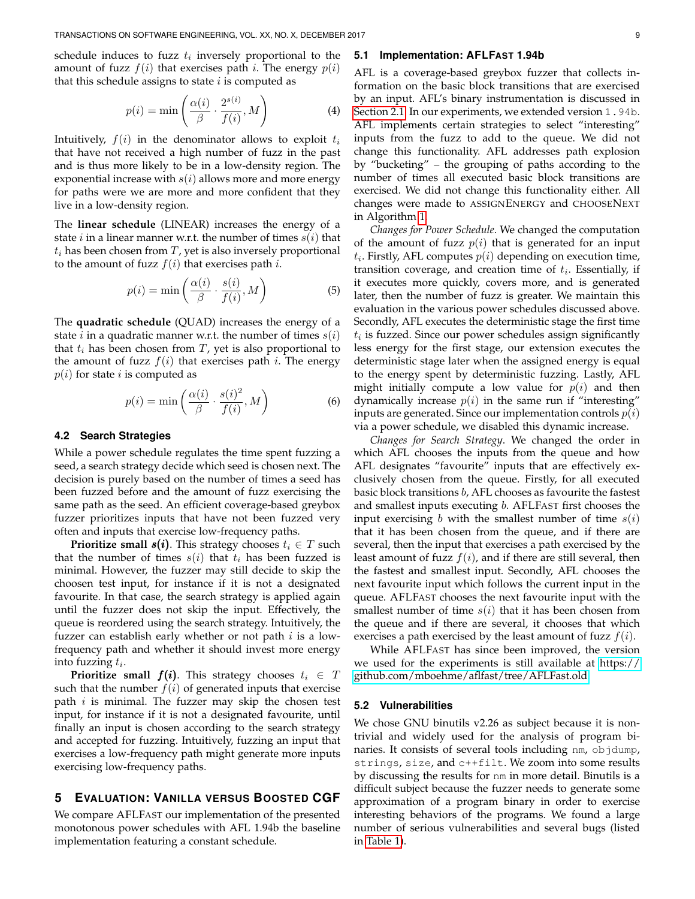schedule induces to fuzz  $t_i$  inversely proportional to the amount of fuzz  $f(i)$  that exercises path *i*. The energy  $p(i)$ that this schedule assigns to state  $i$  is computed as

$$
p(i) = \min\left(\frac{\alpha(i)}{\beta} \cdot \frac{2^{s(i)}}{f(i)}, M\right)
$$
 (4)

Intuitively,  $f(i)$  in the denominator allows to exploit  $t_i$ that have not received a high number of fuzz in the past and is thus more likely to be in a low-density region. The exponential increase with  $s(i)$  allows more and more energy for paths were we are more and more confident that they live in a low-density region.

The **linear schedule** (LINEAR) increases the energy of a state *i* in a linear manner w.r.t. the number of times  $s(i)$  that  $t_i$  has been chosen from T, yet is also inversely proportional to the amount of fuzz  $f(i)$  that exercises path *i*.

$$
p(i) = \min\left(\frac{\alpha(i)}{\beta} \cdot \frac{s(i)}{f(i)}, M\right) \tag{5}
$$

The **quadratic schedule** (QUAD) increases the energy of a state *i* in a quadratic manner w.r.t. the number of times  $s(i)$ that  $t_i$  has been chosen from  $T$ , yet is also proportional to the amount of fuzz  $f(i)$  that exercises path i. The energy  $p(i)$  for state *i* is computed as

$$
p(i) = \min\left(\frac{\alpha(i)}{\beta} \cdot \frac{s(i)^2}{f(i)}, M\right) \tag{6}
$$

#### **4.2 Search Strategies**

While a power schedule regulates the time spent fuzzing a seed, a search strategy decide which seed is chosen next. The decision is purely based on the number of times a seed has been fuzzed before and the amount of fuzz exercising the same path as the seed. An efficient coverage-based greybox fuzzer prioritizes inputs that have not been fuzzed very often and inputs that exercise low-frequency paths.

**Prioritize small**  $s(i)$ . This strategy chooses  $t_i \in T$  such that the number of times  $s(i)$  that  $t_i$  has been fuzzed is minimal. However, the fuzzer may still decide to skip the choosen test input, for instance if it is not a designated favourite. In that case, the search strategy is applied again until the fuzzer does not skip the input. Effectively, the queue is reordered using the search strategy. Intuitively, the fuzzer can establish early whether or not path  $i$  is a lowfrequency path and whether it should invest more energy into fuzzing  $t_i$ .

**Prioritize small**  $f(i)$ . This strategy chooses  $t_i \in T$ such that the number  $f(i)$  of generated inputs that exercise path  $i$  is minimal. The fuzzer may skip the chosen test input, for instance if it is not a designated favourite, until finally an input is chosen according to the search strategy and accepted for fuzzing. Intuitively, fuzzing an input that exercises a low-frequency path might generate more inputs exercising low-frequency paths.

# <span id="page-8-0"></span>**5 EVALUATION: VANILLA VERSUS BOOSTED CGF**

We compare AFLFAST our implementation of the presented monotonous power schedules with AFL 1.94b the baseline implementation featuring a constant schedule.

# <span id="page-8-1"></span>**5.1 Implementation: AFLFAST 1.94b**

AFL is a coverage-based greybox fuzzer that collects information on the basic block transitions that are exercised by an input. AFL's binary instrumentation is discussed in [Section 2.1.](#page-2-4) In our experiments, we extended version 1.94b. AFL implements certain strategies to select "interesting" inputs from the fuzz to add to the queue. We did not change this functionality. AFL addresses path explosion by "bucketing" – the grouping of paths according to the number of times all executed basic block transitions are exercised. We did not change this functionality either. All changes were made to ASSIGNENERGY and CHOOSENEXT in Algorithm [1.](#page-2-3)

*Changes for Power Schedule*. We changed the computation of the amount of fuzz  $p(i)$  that is generated for an input  $t_i$ . Firstly, AFL computes  $p(i)$  depending on execution time, transition coverage, and creation time of  $t_i$ . Essentially, if it executes more quickly, covers more, and is generated later, then the number of fuzz is greater. We maintain this evaluation in the various power schedules discussed above. Secondly, AFL executes the deterministic stage the first time  $t_i$  is fuzzed. Since our power schedules assign significantly less energy for the first stage, our extension executes the deterministic stage later when the assigned energy is equal to the energy spent by deterministic fuzzing. Lastly, AFL might initially compute a low value for  $p(i)$  and then dynamically increase  $p(i)$  in the same run if "interesting" inputs are generated. Since our implementation controls  $p(i)$ via a power schedule, we disabled this dynamic increase.

*Changes for Search Strategy*. We changed the order in which AFL chooses the inputs from the queue and how AFL designates "favourite" inputs that are effectively exclusively chosen from the queue. Firstly, for all executed basic block transitions b, AFL chooses as favourite the fastest and smallest inputs executing  $b$ . AFLFAST first chooses the input exercising b with the smallest number of time  $s(i)$ that it has been chosen from the queue, and if there are several, then the input that exercises a path exercised by the least amount of fuzz  $f(i)$ , and if there are still several, then the fastest and smallest input. Secondly, AFL chooses the next favourite input which follows the current input in the queue. AFLFAST chooses the next favourite input with the smallest number of time  $s(i)$  that it has been chosen from the queue and if there are several, it chooses that which exercises a path exercised by the least amount of fuzz  $f(i)$ .

While AFLFAST has since been improved, the version we used for the experiments is still available at [https://](https://github.com/mboehme/aflfast/tree/AFLFast.old) [github.com/mboehme/aflfast/tree/AFLFast.old.](https://github.com/mboehme/aflfast/tree/AFLFast.old)

# <span id="page-8-2"></span>**5.2 Vulnerabilities**

We chose GNU binutils v2.26 as subject because it is nontrivial and widely used for the analysis of program binaries. It consists of several tools including nm, objdump, strings, size, and c++filt. We zoom into some results by discussing the results for nm in more detail. Binutils is a difficult subject because the fuzzer needs to generate some approximation of a program binary in order to exercise interesting behaviors of the programs. We found a large number of serious vulnerabilities and several bugs (listed in [Table 1\)](#page-9-0).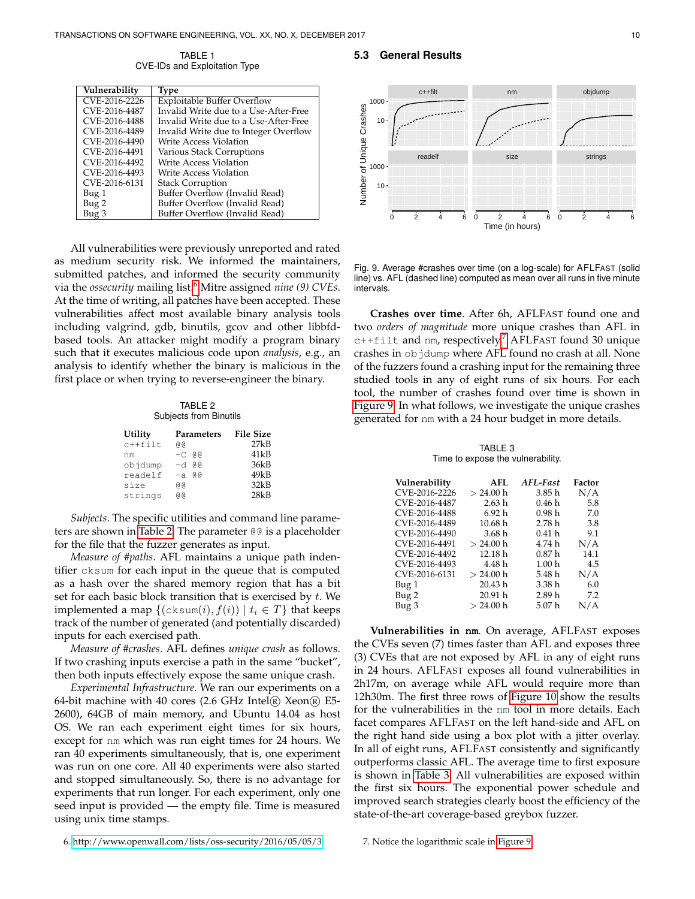TABLE 1 CVE-IDs and Exploitation Type

<span id="page-9-0"></span>

| Vulnerability | <b>Type</b>                           |
|---------------|---------------------------------------|
| CVE-2016-2226 | <b>Exploitable Buffer Overflow</b>    |
| CVE-2016-4487 | Invalid Write due to a Use-After-Free |
| CVE-2016-4488 | Invalid Write due to a Use-After-Free |
| CVE-2016-4489 | Invalid Write due to Integer Overflow |
| CVE-2016-4490 | Write Access Violation                |
| CVE-2016-4491 | Various Stack Corruptions             |
| CVE-2016-4492 | Write Access Violation                |
| CVE-2016-4493 | Write Access Violation                |
| CVE-2016-6131 | <b>Stack Corruption</b>               |
| Bug 1         | Buffer Overflow (Invalid Read)        |
| Bug 2         | Buffer Overflow (Invalid Read)        |
| Bug 3         | Buffer Overflow (Invalid Read)        |

All vulnerabilities were previously unreported and rated as medium security risk. We informed the maintainers, submitted patches, and informed the security community via the *ossecurity* mailing list.[6](#page-9-1) Mitre assigned *nine (9) CVEs*. At the time of writing, all patches have been accepted. These vulnerabilities affect most available binary analysis tools including valgrind, gdb, binutils, gcov and other libbfdbased tools. An attacker might modify a program binary such that it executes malicious code upon *analysis*, e.g., an analysis to identify whether the binary is malicious in the first place or when trying to reverse-engineer the binary.

TABLE 2 Subjects from Binutils

<span id="page-9-2"></span>

| Utility  | Parameters | <b>File Size</b> |
|----------|------------|------------------|
| $c++fit$ | ଡ (ବ       | 27kB             |
| nm       | $-C$ @ @   | 41kB             |
| objdump  | – പ ഭദ     | 36kB             |
| readelf  | -a @@      | 49kB             |
| size     | 6 G        | 32kB             |
| strings  | G G        | 28kB             |
|          |            |                  |

*Subjects*. The specific utilities and command line parameters are shown in [Table 2.](#page-9-2) The parameter @@ is a placeholder for the file that the fuzzer generates as input.

*Measure of #paths*. AFL maintains a unique path indentifier cksum for each input in the queue that is computed as a hash over the shared memory region that has a bit set for each basic block transition that is exercised by  $t$ . We implemented a map  $\{(\text{cksum}(i), f(i)) \mid t_i \in T\}$  that keeps track of the number of generated (and potentially discarded) inputs for each exercised path.

*Measure of #crashes*. AFL defines *unique crash* as follows. If two crashing inputs exercise a path in the same "bucket", then both inputs effectively expose the same unique crash.

*Experimental Infrastructure*. We ran our experiments on a 64-bit machine with 40 cores (2.6 GHz Intel $\mathbb R$ ) Xeon $\mathbb R$ ) E5-2600), 64GB of main memory, and Ubuntu 14.04 as host OS. We ran each experiment eight times for six hours, except for nm which was run eight times for 24 hours. We ran 40 experiments simultaneously, that is, one experiment was run on one core. All 40 experiments were also started and stopped simultaneously. So, there is no advantage for experiments that run longer. For each experiment, only one seed input is provided — the empty file. Time is measured using unix time stamps.

#### **5.3 General Results**



<span id="page-9-4"></span>Fig. 9. Average #crashes over time (on a log-scale) for AFLFAST (solid line) vs. AFL (dashed line) computed as mean over all runs in five minute intervals.

**Crashes over time**. After 6h, AFLFAST found one and two *orders of magnitude* more unique crashes than AFL in  $c++$ filt and nm, respectively.<sup>[7](#page-9-3)</sup> AFLFAST found 30 unique crashes in objdump where AFL found no crash at all. None of the fuzzers found a crashing input for the remaining three studied tools in any of eight runs of six hours. For each tool, the number of crashes found over time is shown in [Figure 9.](#page-9-4) In what follows, we investigate the unique crashes generated for nm with a 24 hour budget in more details.

TABLE 3 Time to expose the vulnerability.

<span id="page-9-5"></span>

| Vulnerability | AFL       | AFL-Fast          | Factor |
|---------------|-----------|-------------------|--------|
| CVE-2016-2226 | > 24.00 h | 3.85 h            | N/A    |
| CVE-2016-4487 | 2.63h     | 0.46 h            | 5.8    |
| CVE-2016-4488 | 6.92h     | 0.98h             | 7.0    |
| CVE-2016-4489 | 10.68h    | 2.78h             | 3.8    |
| CVE-2016-4490 | 3.68 h    | 0.41 <sub>h</sub> | 9.1    |
| CVE-2016-4491 | > 24.00 h | 4.74 h            | N/A    |
| CVE-2016-4492 | 12.18h    | 0.87h             | 14.1   |
| CVE-2016-4493 | 4.48 h    | 1.00 <sub>h</sub> | 4.5    |
| CVE-2016-6131 | > 24.00 h | 5.48 h            | N/A    |
| Bug 1         | 20.43h    | 3.38 h            | 6.0    |
| Bug 2         | 20.91 h   | 2.89 <sub>h</sub> | 7.2    |
| Bug 3         | > 24.00 h | 5.07 h            | N/A    |
|               |           |                   |        |

**Vulnerabilities in nm**. On average, AFLFAST exposes the CVEs seven (7) times faster than AFL and exposes three (3) CVEs that are not exposed by AFL in any of eight runs in 24 hours. AFLFAST exposes all found vulnerabilities in 2h17m, on average while AFL would require more than 12h30m. The first three rows of [Figure 10](#page-10-0) show the results for the vulnerabilities in the nm tool in more details. Each facet compares AFLFAST on the left hand-side and AFL on the right hand side using a box plot with a jitter overlay. In all of eight runs, AFLFAST consistently and significantly outperforms classic AFL. The average time to first exposure is shown in [Table 3.](#page-9-5) All vulnerabilities are exposed within the first six hours. The exponential power schedule and improved search strategies clearly boost the efficiency of the state-of-the-art coverage-based greybox fuzzer.

<span id="page-9-3"></span>7. Notice the logarithmic scale in [Figure 9.](#page-9-4)

<span id="page-9-1"></span>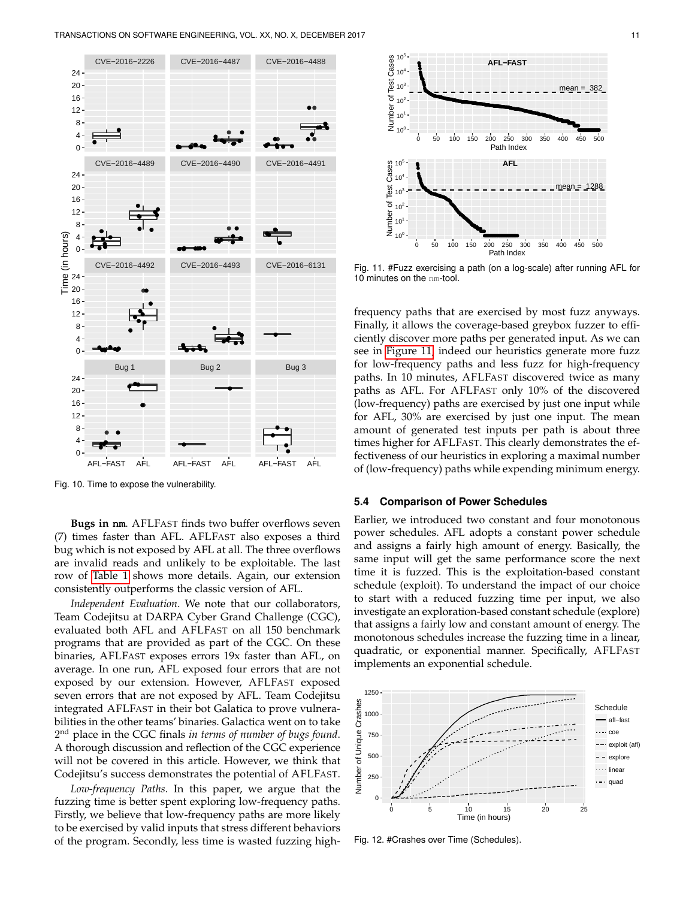

<span id="page-10-0"></span>Fig. 10. Time to expose the vulnerability.

**Bugs in nm**. AFLFAST finds two buffer overflows seven (7) times faster than AFL. AFLFAST also exposes a third bug which is not exposed by AFL at all. The three overflows are invalid reads and unlikely to be exploitable. The last row of [Table 1](#page-9-0) shows more details. Again, our extension consistently outperforms the classic version of AFL.

*Independent Evaluation*. We note that our collaborators, Team Codejitsu at DARPA Cyber Grand Challenge (CGC), evaluated both AFL and AFLFAST on all 150 benchmark programs that are provided as part of the CGC. On these binaries, AFLFAST exposes errors 19x faster than AFL, on average. In one run, AFL exposed four errors that are not exposed by our extension. However, AFLFAST exposed seven errors that are not exposed by AFL. Team Codejitsu integrated AFLFAST in their bot Galatica to prove vulnerabilities in the other teams' binaries. Galactica went on to take 2 nd place in the CGC finals *in terms of number of bugs found*. A thorough discussion and reflection of the CGC experience will not be covered in this article. However, we think that Codejitsu's success demonstrates the potential of AFLFAST.

*Low-frequency Paths*. In this paper, we argue that the fuzzing time is better spent exploring low-frequency paths. Firstly, we believe that low-frequency paths are more likely to be exercised by valid inputs that stress different behaviors of the program. Secondly, less time is wasted fuzzing high-



<span id="page-10-1"></span>Fig. 11. #Fuzz exercising a path (on a log-scale) after running AFL for 10 minutes on the nm-tool.

frequency paths that are exercised by most fuzz anyways. Finally, it allows the coverage-based greybox fuzzer to efficiently discover more paths per generated input. As we can see in [Figure 11,](#page-10-1) indeed our heuristics generate more fuzz for low-frequency paths and less fuzz for high-frequency paths. In 10 minutes, AFLFAST discovered twice as many paths as AFL. For AFLFAST only 10% of the discovered (low-frequency) paths are exercised by just one input while for AFL, 30% are exercised by just one input. The mean amount of generated test inputs per path is about three times higher for AFLFAST. This clearly demonstrates the effectiveness of our heuristics in exploring a maximal number of (low-frequency) paths while expending minimum energy.

#### **5.4 Comparison of Power Schedules**

Earlier, we introduced two constant and four monotonous power schedules. AFL adopts a constant power schedule and assigns a fairly high amount of energy. Basically, the same input will get the same performance score the next time it is fuzzed. This is the exploitation-based constant schedule (exploit). To understand the impact of our choice to start with a reduced fuzzing time per input, we also investigate an exploration-based constant schedule (explore) that assigns a fairly low and constant amount of energy. The monotonous schedules increase the fuzzing time in a linear, quadratic, or exponential manner. Specifically, AFLFAST implements an exponential schedule.



<span id="page-10-2"></span>Fig. 12. #Crashes over Time (Schedules).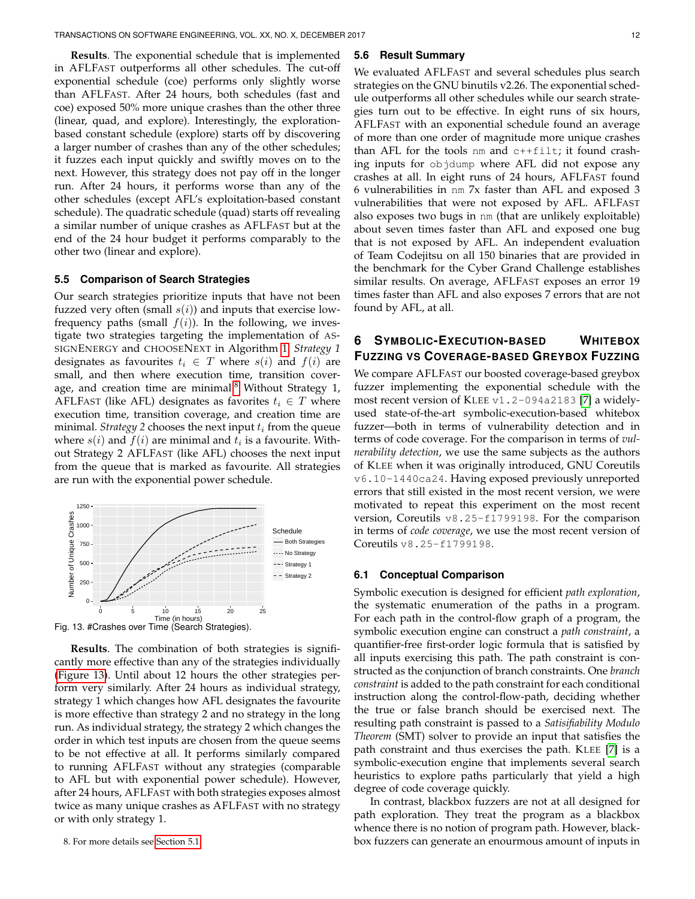**Results**. The exponential schedule that is implemented in AFLFAST outperforms all other schedules. The cut-off exponential schedule (coe) performs only slightly worse than AFLFAST. After 24 hours, both schedules (fast and coe) exposed 50% more unique crashes than the other three (linear, quad, and explore). Interestingly, the explorationbased constant schedule (explore) starts off by discovering a larger number of crashes than any of the other schedules; it fuzzes each input quickly and swiftly moves on to the next. However, this strategy does not pay off in the longer run. After 24 hours, it performs worse than any of the other schedules (except AFL's exploitation-based constant schedule). The quadratic schedule (quad) starts off revealing a similar number of unique crashes as AFLFAST but at the end of the 24 hour budget it performs comparably to the other two (linear and explore).

# **5.5 Comparison of Search Strategies**

Our search strategies prioritize inputs that have not been fuzzed very often (small  $s(i)$ ) and inputs that exercise lowfrequency paths (small  $f(i)$ ). In the following, we investigate two strategies targeting the implementation of AS-SIGNENERGY and CHOOSENEXT in Algorithm [1.](#page-2-3) *Strategy 1* designates as favourites  $t_i \in T$  where  $s(i)$  and  $f(i)$  are small, and then where execution time, transition coverage, and creation time are minimal. $8$  Without Strategy 1, AFLFAST (like AFL) designates as favorites  $t_i \in T$  where execution time, transition coverage, and creation time are minimal. *Strategy* 2 chooses the next input  $t_i$  from the queue where  $s(i)$  and  $f(i)$  are minimal and  $t_i$  is a favourite. Without Strategy 2 AFLFAST (like AFL) chooses the next input from the queue that is marked as favourite. All strategies are run with the exponential power schedule.



<span id="page-11-1"></span>**Results**. The combination of both strategies is significantly more effective than any of the strategies individually [\(Figure 13\)](#page-11-2). Until about 12 hours the other strategies perform very similarly. After 24 hours as individual strategy, strategy 1 which changes how AFL designates the favourite is more effective than strategy 2 and no strategy in the long run. As individual strategy, the strategy 2 which changes the order in which test inputs are chosen from the queue seems to be not effective at all. It performs similarly compared to running AFLFAST without any strategies (comparable to AFL but with exponential power schedule). However, after 24 hours, AFLFAST with both strategies exposes almost twice as many unique crashes as AFLFAST with no strategy or with only strategy 1.

#### **5.6 Result Summary**

We evaluated AFLFAST and several schedules plus search strategies on the GNU binutils v2.26. The exponential schedule outperforms all other schedules while our search strategies turn out to be effective. In eight runs of six hours, AFLFAST with an exponential schedule found an average of more than one order of magnitude more unique crashes than AFL for the tools nm and  $c++filt$ ; it found crashing inputs for objdump where AFL did not expose any crashes at all. In eight runs of 24 hours, AFLFAST found 6 vulnerabilities in nm 7x faster than AFL and exposed 3 vulnerabilities that were not exposed by AFL. AFLFAST also exposes two bugs in nm (that are unlikely exploitable) about seven times faster than AFL and exposed one bug that is not exposed by AFL. An independent evaluation of Team Codejitsu on all 150 binaries that are provided in the benchmark for the Cyber Grand Challenge establishes similar results. On average, AFLFAST exposes an error 19 times faster than AFL and also exposes 7 errors that are not found by AFL, at all.

# <span id="page-11-0"></span>**6 SYMBOLIC-EXECUTION-BASED WHITEBOX FUZZING VS COVERAGE-BASED GREYBOX FUZZING**

We compare AFLFAST our boosted coverage-based greybox fuzzer implementing the exponential schedule with the most recent version of KLEE v1.2-094a2183 [\[7\]](#page-16-6) a widelyused state-of-the-art symbolic-execution-based whitebox fuzzer—both in terms of vulnerability detection and in terms of code coverage. For the comparison in terms of *vulnerability detection*, we use the same subjects as the authors of KLEE when it was originally introduced, GNU Coreutils v6.10-1440ca24. Having exposed previously unreported errors that still existed in the most recent version, we were motivated to repeat this experiment on the most recent version, Coreutils v8.25-f1799198. For the comparison in terms of *code coverage*, we use the most recent version of Coreutils v8.25-f1799198.

# **6.1 Conceptual Comparison**

<span id="page-11-2"></span>Symbolic execution is designed for efficient *path exploration*, the systematic enumeration of the paths in a program. For each path in the control-flow graph of a program, the symbolic execution engine can construct a *path constraint*, a quantifier-free first-order logic formula that is satisfied by all inputs exercising this path. The path constraint is constructed as the conjunction of branch constraints. One *branch constraint* is added to the path constraint for each conditional instruction along the control-flow-path, deciding whether the true or false branch should be exercised next. The resulting path constraint is passed to a *Satisifiability Modulo Theorem* (SMT) solver to provide an input that satisfies the path constraint and thus exercises the path. KLEE [\[7\]](#page-16-6) is a symbolic-execution engine that implements several search heuristics to explore paths particularly that yield a high degree of code coverage quickly.

In contrast, blackbox fuzzers are not at all designed for path exploration. They treat the program as a blackbox whence there is no notion of program path. However, blackbox fuzzers can generate an enourmous amount of inputs in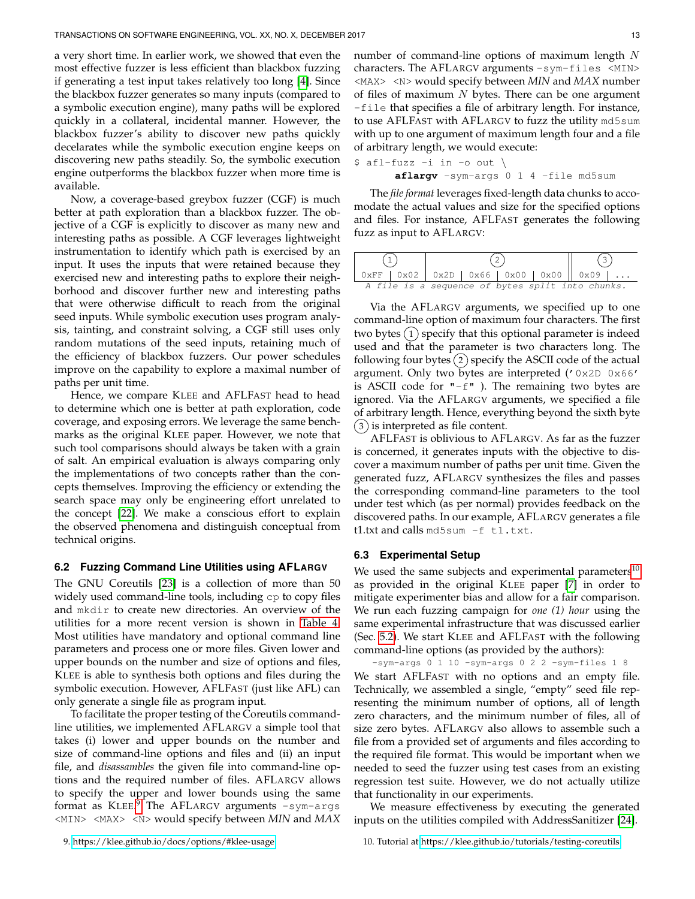a very short time. In earlier work, we showed that even the most effective fuzzer is less efficient than blackbox fuzzing if generating a test input takes relatively too long [\[4\]](#page-16-2). Since the blackbox fuzzer generates so many inputs (compared to a symbolic execution engine), many paths will be explored quickly in a collateral, incidental manner. However, the blackbox fuzzer's ability to discover new paths quickly decelarates while the symbolic execution engine keeps on discovering new paths steadily. So, the symbolic execution engine outperforms the blackbox fuzzer when more time is available.

Now, a coverage-based greybox fuzzer (CGF) is much better at path exploration than a blackbox fuzzer. The objective of a CGF is explicitly to discover as many new and interesting paths as possible. A CGF leverages lightweight instrumentation to identify which path is exercised by an input. It uses the inputs that were retained because they exercised new and interesting paths to explore their neighborhood and discover further new and interesting paths that were otherwise difficult to reach from the original seed inputs. While symbolic execution uses program analysis, tainting, and constraint solving, a CGF still uses only random mutations of the seed inputs, retaining much of the efficiency of blackbox fuzzers. Our power schedules improve on the capability to explore a maximal number of paths per unit time.

Hence, we compare KLEE and AFLFAST head to head to determine which one is better at path exploration, code coverage, and exposing errors. We leverage the same benchmarks as the original KLEE paper. However, we note that such tool comparisons should always be taken with a grain of salt. An empirical evaluation is always comparing only the implementations of two concepts rather than the concepts themselves. Improving the efficiency or extending the search space may only be engineering effort unrelated to the concept [\[22\]](#page-17-0). We make a conscious effort to explain the observed phenomena and distinguish conceptual from technical origins.

# **6.2 Fuzzing Command Line Utilities using AFLARGV**

The GNU Coreutils [\[23\]](#page-17-1) is a collection of more than 50 widely used command-line tools, including cp to copy files and mkdir to create new directories. An overview of the utilities for a more recent version is shown in [Table 4.](#page-14-0) Most utilities have mandatory and optional command line parameters and process one or more files. Given lower and upper bounds on the number and size of options and files, KLEE is able to synthesis both options and files during the symbolic execution. However, AFLFAST (just like AFL) can only generate a single file as program input.

To facilitate the proper testing of the Coreutils commandline utilities, we implemented AFLARGV a simple tool that takes (i) lower and upper bounds on the number and size of command-line options and files and (ii) an input file, and *disassambles* the given file into command-line options and the required number of files. AFLARGV allows to specify the upper and lower bounds using the same format as KLEE.<sup>[9](#page-12-0)</sup> The AFLARGV arguments -sym-args <MIN> <MAX> <N> would specify between *MIN* and *MAX* number of command-line options of maximum length N characters. The AFLARGV arguments -sym-files <MIN> <MAX> <N> would specify between *MIN* and *MAX* number of files of maximum  $N$  bytes. There can be one argument -file that specifies a file of arbitrary length. For instance, to use AFLFAST with AFLARGV to fuzz the utility md5sum with up to one argument of maximum length four and a file of arbitrary length, we would execute:

\$ afl-fuzz -i in -o out \ **aflargv** -sym-args 0 1 4 -file md5sum

The *file format* leverages fixed-length data chunks to accomodate the actual values and size for the specified options and files. For instance, AFLFAST generates the following fuzz as input to AFLARGV:

| ①                                                | ②             | ②             | ③             |               |               |               |     |
|--------------------------------------------------|---------------|---------------|---------------|---------------|---------------|---------------|-----|
| $0 \times FF$                                    | $0 \times 02$ | $0 \times 2D$ | $0 \times 66$ | $0 \times 00$ | $0 \times 00$ | $0 \times 09$ | ... |
| A file is a sequence of bytes split into chunks. |               |               |               |               |               |               |     |

Via the AFLARGV arguments, we specified up to one command-line option of maximum four characters. The first two bytes  $(1)$  specify that this optional parameter is indeed used and that the parameter is two characters long. The following four bytes  $(2)$  specify the ASCII code of the actual argument. Only two bytes are interpreted ('0x2D 0x66' is ASCII code for  $"$ -f" ). The remaining two bytes are ignored. Via the AFLARGV arguments, we specified a file of arbitrary length. Hence, everything beyond the sixth byte  $(3)$  is interpreted as file content.

AFLFAST is oblivious to AFLARGV. As far as the fuzzer is concerned, it generates inputs with the objective to discover a maximum number of paths per unit time. Given the generated fuzz, AFLARGV synthesizes the files and passes the corresponding command-line parameters to the tool under test which (as per normal) provides feedback on the discovered paths. In our example, AFLARGV generates a file t1.txt and calls md5sum -f t1.txt.

#### <span id="page-12-2"></span>**6.3 Experimental Setup**

We used the same subjects and experimental parameters<sup>[10](#page-12-1)</sup> as provided in the original KLEE paper [\[7\]](#page-16-6) in order to mitigate experimenter bias and allow for a fair comparison. We run each fuzzing campaign for *one (1) hour* using the same experimental infrastructure that was discussed earlier (Sec. [5.2\)](#page-8-2). We start KLEE and AFLFAST with the following command-line options (as provided by the authors):

-sym-args 0 1 10 -sym-args 0 2 2 -sym-files 1 8 We start AFLFAST with no options and an empty file. Technically, we assembled a single, "empty" seed file representing the minimum number of options, all of length zero characters, and the minimum number of files, all of size zero bytes. AFLARGV also allows to assemble such a file from a provided set of arguments and files according to the required file format. This would be important when we needed to seed the fuzzer using test cases from an existing regression test suite. However, we do not actually utilize that functionality in our experiments.

We measure effectiveness by executing the generated inputs on the utilities compiled with AddressSanitizer [\[24\]](#page-17-2).

<span id="page-12-0"></span>9.<https://klee.github.io/docs/options/#klee-usage>

<span id="page-12-1"></span><sup>10.</sup> Tutorial at [https://klee.github.io/tutorials/testing-coreutils.](https://klee.github.io/tutorials/testing-coreutils)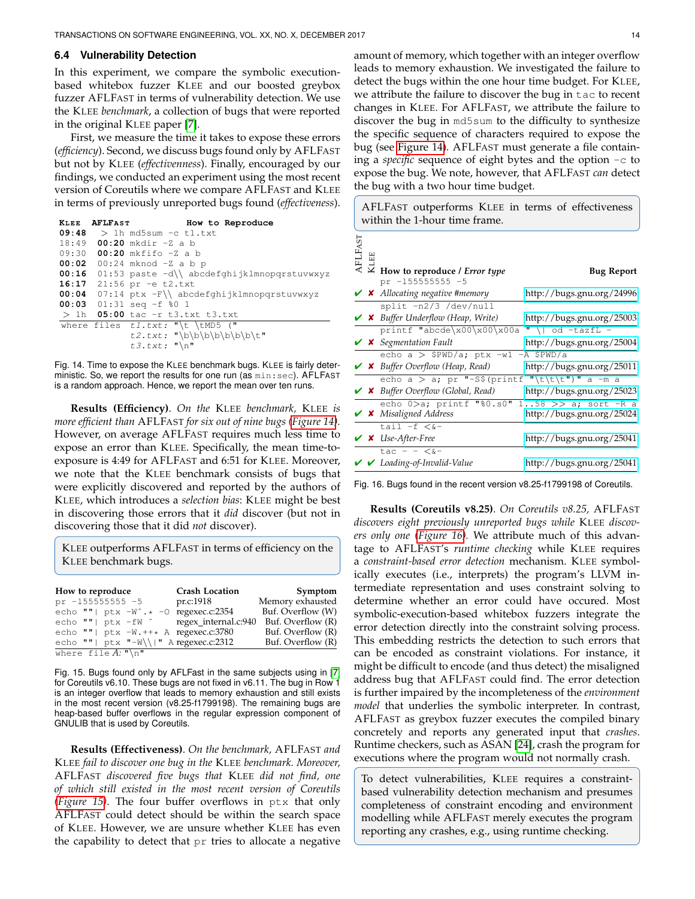# **6.4 Vulnerability Detection**

In this experiment, we compare the symbolic executionbased whitebox fuzzer KLEE and our boosted greybox fuzzer AFLFAST in terms of vulnerability detection. We use the KLEE *benchmark*, a collection of bugs that were reported in the original KLEE paper [\[7\]](#page-16-6).

First, we measure the time it takes to expose these errors (*efficiency*). Second, we discuss bugs found only by AFLFAST but not by KLEE (*effectivenness*). Finally, encouraged by our findings, we conducted an experiment using the most recent version of Coreutils where we compare AFLFAST and KLEE in terms of previously unreported bugs found (*effectiveness*).

**KL E E AFLFA S T How to Reproduce 09:48** > 1h md5sum -c t1.txt 18:49 **00:20** mkdir -Z a b 09:30 **00:20** mkfifo -Z a b **00:02** 00:24 mknod -Z a b p **00:16** 01:53 paste -d\\ abcdefghijklmnopqrstuvwxyz **16:17** 21:56 pr -e t2.txt **00:04** 07:14 ptx -F\\ abcdefghijklmnopqrstuvwxyz **00:03** 01:31 seq -f %0 1 > 1h **05:00** tac -r t3.txt t3.txt where files  $t1.txt$ : "\t \tMD5 ("  $t2.txt$ : "\b\b\b\b\b\b\t"  $t3.txt:$  "\n"

Fig. 14. Time to expose the KLEE benchmark bugs. KLEE is fairly deterministic. So, we report the results for one run (as min: sec). AFLFAST is a random approach. Hence, we report the mean over ten runs.

**Results (Efficiency)**. *On the* KLEE *benchmark,* KLEE *is more efficient than* AFLFAST *for six out of nine bugs [\(Figure 14\)](#page-13-0).* However, on average AFLFAST requires much less time to expose an error than KLEE. Specifically, the mean time-toexposure is 4:49 for AFLFAST and 6:51 for KLEE. Moreover, we note that the KLEE benchmark consists of bugs that were explicitly discovered and reported by the authors of KLEE, which introduces a *selection bias*: KLEE might be best in discovering those errors that it *did* discover (but not in discovering those that it did *not* discover).

KLEE outperforms AFLFAST in terms of efficiency on the KLEE benchmark bugs.

| How to reproduce                                          | <b>Crash Location</b> | Symptom           |  |  |  |
|-----------------------------------------------------------|-----------------------|-------------------|--|--|--|
| pr $-155555555 - 5$                                       | pr.c:1918             | Memory exhausted  |  |  |  |
| echo ""  $ptx -w^* \cdot * -0$ regexec.c:2354             |                       | Buf. Overflow (W) |  |  |  |
| echo ""  ptx -fW ^ regex_internal.c:940 Buf. Overflow (R) |                       |                   |  |  |  |
| echo ""  $ptx -W.++x A$ regexec.c:3780                    |                       | Buf. Overflow (R) |  |  |  |
| echo ""  ptx "- $\overline{W}\$  " A regexec.c:2312       |                       | Buf. Overflow (R) |  |  |  |
| where file $A: \mathbb{T} \setminus \mathbb{n}$           |                       |                   |  |  |  |

Fig. 15. Bugs found only by AFLFast in the same subjects using in [\[7\]](#page-16-6) for Coreutils v6.10. These bugs are not fixed in v6.11. The bug in Row 1 is an integer overflow that leads to memory exhaustion and still exists in the most recent version (v8.25-f1799198). The remaining bugs are heap-based buffer overflows in the regular expression component of GNULIB that is used by Coreutils.

**Results (Effectiveness)**. *On the benchmark,* AFLFAST *and* KLEE *fail to discover one bug in the* KLEE *benchmark. Moreover,* AFLFAST *discovered five bugs that* KLEE *did not find, one of which still existed in the most recent version of Coreutils [\(Figure 15\)](#page-13-1)*. The four buffer overflows in ptx that only AFLFAST could detect should be within the search space of KLEE. However, we are unsure whether KLEE has even the capability to detect that pr tries to allocate a negative

amount of memory, which together with an integer overflow leads to memory exhaustion. We investigated the failure to detect the bugs within the one hour time budget. For KLEE, we attribute the failure to discover the bug in tac to recent changes in KLEE. For AFLFAST, we attribute the failure to discover the bug in md5sum to the difficulty to synthesize the specific sequence of characters required to expose the bug (see [Figure 14\)](#page-13-0). AFLFAST must generate a file containing a *specific* sequence of eight bytes and the option -c to expose the bug. We note, however, that AFLFAST *can* detect the bug with a two hour time budget.

AFLFAST outperforms KLEE in terms of effectiveness within the 1-hour time frame.

<span id="page-13-2"></span><span id="page-13-0"></span>

|                                                | <b>Bug Report</b>                                                                                                                                                                                                                                                                                                                                                                                                                                                                 |
|------------------------------------------------|-----------------------------------------------------------------------------------------------------------------------------------------------------------------------------------------------------------------------------------------------------------------------------------------------------------------------------------------------------------------------------------------------------------------------------------------------------------------------------------|
|                                                | http://bugs.gnu.org/24996                                                                                                                                                                                                                                                                                                                                                                                                                                                         |
| split -n2/3 /dev/null                          |                                                                                                                                                                                                                                                                                                                                                                                                                                                                                   |
|                                                | http://bugs.gnu.org/25003                                                                                                                                                                                                                                                                                                                                                                                                                                                         |
| printf "abcde\x00\x00\x00a " \  od -tazfL -    |                                                                                                                                                                                                                                                                                                                                                                                                                                                                                   |
|                                                | http://bugs.gnu.org/25004                                                                                                                                                                                                                                                                                                                                                                                                                                                         |
| echo $a > $PWD/a;$ ptx -wl -A \$PWD/a          |                                                                                                                                                                                                                                                                                                                                                                                                                                                                                   |
|                                                | http://bugs.gnu.org/25011                                                                                                                                                                                                                                                                                                                                                                                                                                                         |
| echo a > a; pr "-S\$ (printf "\t\t\t")" a -m a |                                                                                                                                                                                                                                                                                                                                                                                                                                                                                   |
|                                                |                                                                                                                                                                                                                                                                                                                                                                                                                                                                                   |
| echo 0>a; printf "%0.s0" 158 >> a; sort -R a   |                                                                                                                                                                                                                                                                                                                                                                                                                                                                                   |
|                                                | http://bugs.gnu.org/25024                                                                                                                                                                                                                                                                                                                                                                                                                                                         |
|                                                |                                                                                                                                                                                                                                                                                                                                                                                                                                                                                   |
|                                                | http://bugs.gnu.org/25041                                                                                                                                                                                                                                                                                                                                                                                                                                                         |
| $\text{tac} - - 6 -$                           |                                                                                                                                                                                                                                                                                                                                                                                                                                                                                   |
|                                                | http://bugs.gnu.org/25041                                                                                                                                                                                                                                                                                                                                                                                                                                                         |
| AFLFAST<br>KLEE                                | How to reproduce / Error type<br>pr -155555555 -5<br>$\vee$ <b>x</b> Allocating negative #memory<br>$\vee$ <b>x</b> Buffer Underflow (Heap, Write)<br>$\vee$ <b><math>\times</math></b> Segmentation Fault<br>$\vee$ <b>X</b> Buffer Overflow (Heap, Read)<br>✔ X Buffer Overflow (Global, Read) http://bugs.gnu.org/25023<br>$\boldsymbol{\vee}$ <b>X</b> Misaligned Address<br>tail $-f < \epsilon$ -<br>$\vee$ $\times$ Use-After-Free<br>$\vee \vee$ Loading-of-Invalid-Value |

Fig. 16. Bugs found in the recent version v8.25-f1799198 of Coreutils.

<span id="page-13-1"></span>**Results (Coreutils v8.25)**. *On Coreutils v8.25,* AFLFAST *discovers eight previously unreported bugs while* KLEE *discovers only one [\(Figure 16\)](#page-13-2).* We attribute much of this advantage to AFLFAST's *runtime checking* while KLEE requires a *constraint-based error detection* mechanism. KLEE symbolically executes (i.e., interprets) the program's LLVM intermediate representation and uses constraint solving to determine whether an error could have occured. Most symbolic-execution-based whitebox fuzzers integrate the error detection directly into the constraint solving process. This embedding restricts the detection to such errors that can be encoded as constraint violations. For instance, it might be difficult to encode (and thus detect) the misaligned address bug that AFLFAST could find. The error detection is further impaired by the incompleteness of the *environment model* that underlies the symbolic interpreter. In contrast, AFLFAST as greybox fuzzer executes the compiled binary concretely and reports any generated input that *crashes*. Runtime checkers, such as ASAN [\[24\]](#page-17-2), crash the program for executions where the program would not normally crash.

To detect vulnerabilities, KLEE requires a constraintbased vulnerability detection mechanism and presumes completeness of constraint encoding and environment modelling while AFLFAST merely executes the program reporting any crashes, e.g., using runtime checking.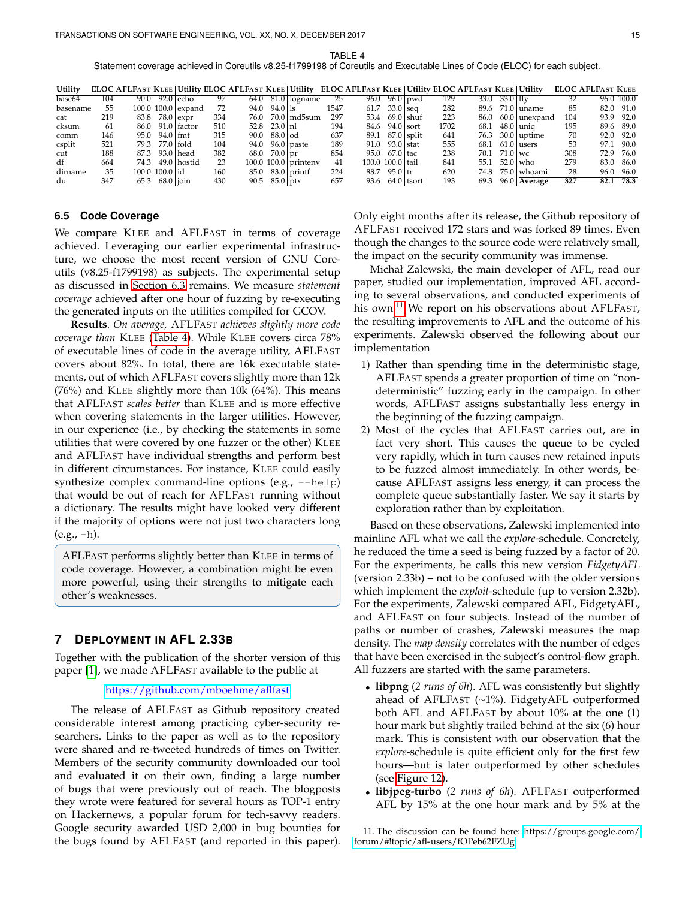Statement coverage achieved in Coreutils v8.25-f1799198 of Coreutils and Executable Lines of Code (ELOC) for each subject.

<span id="page-14-0"></span>

| Utility  |     |                |                      |     | ELOC AFLFAST KLEE Utility ELOC AFLFAST KLEE Utility ELOC AFLFAST KLEE Utility ELOC AFLFAST KLEE Utility |                                   |                        |      |                  |                         |      |                                 |                                   |     | <b>ELOC AFLFAST KLEE</b> |            |
|----------|-----|----------------|----------------------|-----|---------------------------------------------------------------------------------------------------------|-----------------------------------|------------------------|------|------------------|-------------------------|------|---------------------------------|-----------------------------------|-----|--------------------------|------------|
| base64   | 104 |                | 90.0 92.0 echo       | 97  |                                                                                                         |                                   | 64.0 $81.0$ logname    | -25  |                  | $96.0$ $96.0$ pwd       | 129  | $33.0 \quad 33.0 \, \text{ttv}$ |                                   | 32  |                          | 96.0 100.0 |
| basename | 55  |                | 100.0 $100.0$ expand | 72  |                                                                                                         | 94.0 94.0 ls                      |                        | 1547 |                  | 61.7 33.0 seq           | 282  |                                 | $89.6$ 71.0   uname               | 85  |                          | 82.0 91.0  |
| cat      | 219 |                | 83.8 78.0 expr       | 334 |                                                                                                         |                                   | 76.0 70.0 md5sum       | 297  |                  | 53.4 $69.0$ shuf        | 223  |                                 | $86.0\quad 60.0$   unexpand       | 104 |                          | 93.9 92.0  |
| cksum    | 61  |                | 86.0 91.0 factor     | 510 |                                                                                                         | $52.8$ $23.0 \ln 1$               |                        | 194  | 84.6 94.0 sort   |                         | 1702 | 68.1 $48.0 \vert \text{uniq}$   |                                   | 195 |                          | 89.6 89.0  |
| comm     | 146 |                | 95.0 94.0 fmt        | 315 |                                                                                                         | $90.0 \quad 88.0 \, \mathrm{lod}$ |                        | 637  |                  | $89.1 \quad 87.0$ split | 641  |                                 | 76.3 30.0 uptime                  | 70  |                          | 92.0 92.0  |
| csplit   | 521 |                | 79.3 77.0 fold       | 104 |                                                                                                         | 94.0 $96.0$ paste                 |                        | 189  | 91.0 93.0 stat   |                         | 555  |                                 | $68.1\quad 61.0$   users          | 53  |                          | 97.1 90.0  |
| cut      | 188 |                | 87.3 93.0 head       | 382 |                                                                                                         | 68.0 $70.0$ pr                    |                        | 854  | 95.0 67.0 tac    |                         | 238  | 70.1 71.0 wc                    |                                   | 308 |                          | 72.9 76.0  |
| df       | 664 |                | 74.3 49.0 hostid     | 23  |                                                                                                         |                                   | 100.0 $100.0$ printenv | 41   | 100.0 100.0 tail |                         | 841  | 55.1 52.0 who                   |                                   | 279 |                          | 83.0 86.0  |
| dirname  | 35  | 100.0 100.0 id |                      | 160 |                                                                                                         |                                   | $85.0$ $83.0$ printf   | 224  | 88.7 95.0 tr     |                         | 620  |                                 | 74.8 75.0 whoami                  | 28  |                          | 96.0 96.0  |
| du       | 347 | 65.3 68.0 join |                      | 430 |                                                                                                         | 90.5 $85.0$ ptx                   |                        | 657  |                  | 93.6 64.0 tsort         | 193  |                                 | 69.3 96.0 $\sqrt{\text{Average}}$ | 327 |                          | 82.1 78.3  |

# **6.5 Code Coverage**

We compare KLEE and AFLFAST in terms of coverage achieved. Leveraging our earlier experimental infrastructure, we choose the most recent version of GNU Coreutils (v8.25-f1799198) as subjects. The experimental setup as discussed in [Section 6.3](#page-12-2) remains. We measure *statement coverage* achieved after one hour of fuzzing by re-executing the generated inputs on the utilities compiled for GCOV.

**Results**. *On average,* AFLFAST *achieves slightly more code coverage than* KLEE [\(Table 4\)](#page-14-0). While KLEE covers circa 78% of executable lines of code in the average utility, AFLFAST covers about 82%. In total, there are 16k executable statements, out of which AFLFAST covers slightly more than 12k (76%) and KLEE slightly more than 10k (64%). This means that AFLFAST *scales better* than KLEE and is more effective when covering statements in the larger utilities. However, in our experience (i.e., by checking the statements in some utilities that were covered by one fuzzer or the other) KLEE and AFLFAST have individual strengths and perform best in different circumstances. For instance, KLEE could easily synthesize complex command-line options (e.g.,  $-\text{help}$ ) that would be out of reach for AFLFAST running without a dictionary. The results might have looked very different if the majority of options were not just two characters long  $(e.g., -h).$ 

AFLFAST performs slightly better than KLEE in terms of code coverage. However, a combination might be even more powerful, using their strengths to mitigate each other's weaknesses.

# **7 DEPLOYMENT IN AFL 2.33B**

Together with the publication of the shorter version of this paper [\[1\]](#page-16-3), we made AFLFAST available to the public at

#### <https://github.com/mboehme/aflfast>

The release of AFLFAST as Github repository created considerable interest among practicing cyber-security researchers. Links to the paper as well as to the repository were shared and re-tweeted hundreds of times on Twitter. Members of the security community downloaded our tool and evaluated it on their own, finding a large number of bugs that were previously out of reach. The blogposts they wrote were featured for several hours as TOP-1 entry on Hackernews, a popular forum for tech-savvy readers. Google security awarded USD 2,000 in bug bounties for the bugs found by AFLFAST (and reported in this paper). Only eight months after its release, the Github repository of AFLFAST received 172 stars and was forked 89 times. Even though the changes to the source code were relatively small, the impact on the security community was immense.

Michał Zalewski, the main developer of AFL, read our paper, studied our implementation, improved AFL according to several observations, and conducted experiments of his own.<sup>[11](#page-14-1)</sup> We report on his observations about AFLFAST, the resulting improvements to AFL and the outcome of his experiments. Zalewski observed the following about our implementation

- 1) Rather than spending time in the deterministic stage, AFLFAST spends a greater proportion of time on "nondeterministic" fuzzing early in the campaign. In other words, AFLFAST assigns substantially less energy in the beginning of the fuzzing campaign.
- 2) Most of the cycles that AFLFAST carries out, are in fact very short. This causes the queue to be cycled very rapidly, which in turn causes new retained inputs to be fuzzed almost immediately. In other words, because AFLFAST assigns less energy, it can process the complete queue substantially faster. We say it starts by exploration rather than by exploitation.

Based on these observations, Zalewski implemented into mainline AFL what we call the *explore*-schedule. Concretely, he reduced the time a seed is being fuzzed by a factor of 20. For the experiments, he calls this new version *FidgetyAFL* (version 2.33b) – not to be confused with the older versions which implement the *exploit*-schedule (up to version 2.32b). For the experiments, Zalewski compared AFL, FidgetyAFL, and AFLFAST on four subjects. Instead of the number of paths or number of crashes, Zalewski measures the map density. The *map density* correlates with the number of edges that have been exercised in the subject's control-flow graph. All fuzzers are started with the same parameters.

- **libpng** (*2 runs of 6h*). AFL was consistently but slightly ahead of AFLFAST (∼1%). FidgetyAFL outperformed both AFL and AFLFAST by about 10% at the one (1) hour mark but slightly trailed behind at the six (6) hour mark. This is consistent with our observation that the *explore*-schedule is quite efficient only for the first few hours—but is later outperformed by other schedules (see [Figure 12\)](#page-10-2).
- **libjpeg-turbo** (*2 runs of 6h*). AFLFAST outperformed AFL by 15% at the one hour mark and by 5% at the

<span id="page-14-1"></span>11. The discussion can be found here: [https://groups.google.com/](https://groups.google.com/forum/#!topic/afl-users/fOPeb62FZUg) [forum/#!topic/afl-users/fOPeb62FZUg](https://groups.google.com/forum/#!topic/afl-users/fOPeb62FZUg)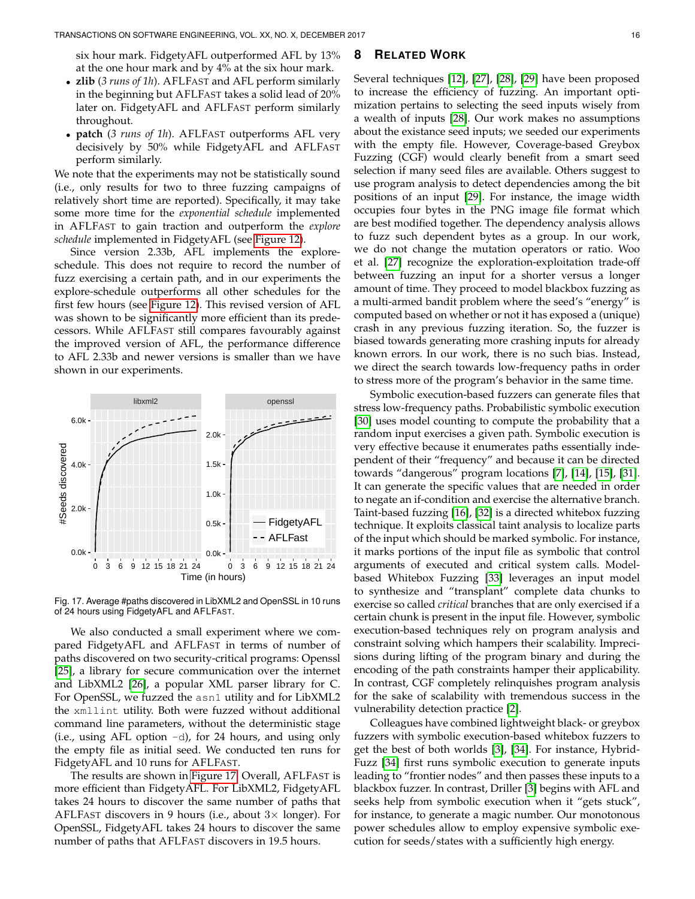six hour mark. FidgetyAFL outperformed AFL by 13% at the one hour mark and by 4% at the six hour mark.

- **zlib** (*3 runs of 1h*). AFLFAST and AFL perform similarly in the beginning but AFLFAST takes a solid lead of 20% later on. FidgetyAFL and AFLFAST perform similarly throughout.
- **patch** (*3 runs of 1h*). AFLFAST outperforms AFL very decisively by 50% while FidgetyAFL and AFLFAST perform similarly.

We note that the experiments may not be statistically sound (i.e., only results for two to three fuzzing campaigns of relatively short time are reported). Specifically, it may take some more time for the *exponential schedule* implemented in AFLFAST to gain traction and outperform the *explore schedule* implemented in FidgetyAFL (see [Figure 12\)](#page-10-2).

Since version 2.33b, AFL implements the exploreschedule. This does not require to record the number of fuzz exercising a certain path, and in our experiments the explore-schedule outperforms all other schedules for the first few hours (see [Figure 12\)](#page-10-2). This revised version of AFL was shown to be significantly more efficient than its predecessors. While AFLFAST still compares favourably against the improved version of AFL, the performance difference to AFL 2.33b and newer versions is smaller than we have shown in our experiments.



<span id="page-15-1"></span>Fig. 17. Average #paths discovered in LibXML2 and OpenSSL in 10 runs of 24 hours using FidgetyAFL and AFLFAST.

We also conducted a small experiment where we compared FidgetyAFL and AFLFAST in terms of number of paths discovered on two security-critical programs: Openssl [\[25\]](#page-17-3), a library for secure communication over the internet and LibXML2 [\[26\]](#page-17-4), a popular XML parser library for C. For OpenSSL, we fuzzed the asn1 utility and for LibXML2 the xmllint utility. Both were fuzzed without additional command line parameters, without the deterministic stage (i.e., using AFL option -d), for 24 hours, and using only the empty file as initial seed. We conducted ten runs for FidgetyAFL and 10 runs for AFLFAST.

The results are shown in [Figure 17.](#page-15-1) Overall, AFLFAST is more efficient than FidgetyAFL. For LibXML2, FidgetyAFL takes 24 hours to discover the same number of paths that AFLFAST discovers in 9 hours (i.e., about  $3 \times$  longer). For OpenSSL, FidgetyAFL takes 24 hours to discover the same number of paths that AFLFAST discovers in 19.5 hours.

# <span id="page-15-0"></span>**8 RELATED WORK**

Several techniques [\[12\]](#page-16-12), [\[27\]](#page-17-5), [\[28\]](#page-17-6), [\[29\]](#page-17-7) have been proposed to increase the efficiency of fuzzing. An important optimization pertains to selecting the seed inputs wisely from a wealth of inputs [\[28\]](#page-17-6). Our work makes no assumptions about the existance seed inputs; we seeded our experiments with the empty file. However, Coverage-based Greybox Fuzzing (CGF) would clearly benefit from a smart seed selection if many seed files are available. Others suggest to use program analysis to detect dependencies among the bit positions of an input [\[29\]](#page-17-7). For instance, the image width occupies four bytes in the PNG image file format which are best modified together. The dependency analysis allows to fuzz such dependent bytes as a group. In our work, we do not change the mutation operators or ratio. Woo et al. [\[27\]](#page-17-5) recognize the exploration-exploitation trade-off between fuzzing an input for a shorter versus a longer amount of time. They proceed to model blackbox fuzzing as a multi-armed bandit problem where the seed's "energy" is computed based on whether or not it has exposed a (unique) crash in any previous fuzzing iteration. So, the fuzzer is biased towards generating more crashing inputs for already known errors. In our work, there is no such bias. Instead, we direct the search towards low-frequency paths in order to stress more of the program's behavior in the same time.

Symbolic execution-based fuzzers can generate files that stress low-frequency paths. Probabilistic symbolic execution [\[30\]](#page-17-8) uses model counting to compute the probability that a random input exercises a given path. Symbolic execution is very effective because it enumerates paths essentially independent of their "frequency" and because it can be directed towards "dangerous" program locations [\[7\]](#page-16-6), [\[14\]](#page-16-14), [\[15\]](#page-16-15), [\[31\]](#page-17-9). It can generate the specific values that are needed in order to negate an if-condition and exercise the alternative branch. Taint-based fuzzing [\[16\]](#page-16-16), [\[32\]](#page-17-10) is a directed whitebox fuzzing technique. It exploits classical taint analysis to localize parts of the input which should be marked symbolic. For instance, it marks portions of the input file as symbolic that control arguments of executed and critical system calls. Modelbased Whitebox Fuzzing [\[33\]](#page-17-11) leverages an input model to synthesize and "transplant" complete data chunks to exercise so called *critical* branches that are only exercised if a certain chunk is present in the input file. However, symbolic execution-based techniques rely on program analysis and constraint solving which hampers their scalability. Imprecisions during lifting of the program binary and during the encoding of the path constraints hamper their applicability. In contrast, CGF completely relinquishes program analysis for the sake of scalability with tremendous success in the vulnerability detection practice [\[2\]](#page-16-0).

Colleagues have combined lightweight black- or greybox fuzzers with symbolic execution-based whitebox fuzzers to get the best of both worlds [\[3\]](#page-16-1), [\[34\]](#page-17-12). For instance, Hybrid-Fuzz [\[34\]](#page-17-12) first runs symbolic execution to generate inputs leading to "frontier nodes" and then passes these inputs to a blackbox fuzzer. In contrast, Driller [\[3\]](#page-16-1) begins with AFL and seeks help from symbolic execution when it "gets stuck", for instance, to generate a magic number. Our monotonous power schedules allow to employ expensive symbolic execution for seeds/states with a sufficiently high energy.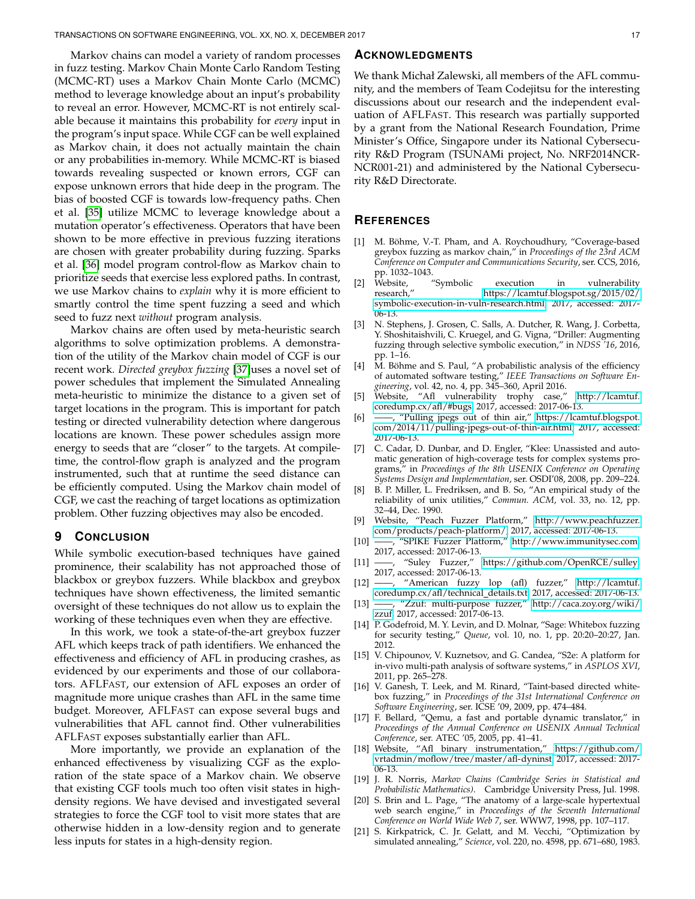Markov chains can model a variety of random processes in fuzz testing. Markov Chain Monte Carlo Random Testing (MCMC-RT) uses a Markov Chain Monte Carlo (MCMC) method to leverage knowledge about an input's probability to reveal an error. However, MCMC-RT is not entirely scalable because it maintains this probability for *every* input in the program's input space. While CGF can be well explained as Markov chain, it does not actually maintain the chain or any probabilities in-memory. While MCMC-RT is biased towards revealing suspected or known errors, CGF can expose unknown errors that hide deep in the program. The bias of boosted CGF is towards low-frequency paths. Chen et al. [\[35\]](#page-17-13) utilize MCMC to leverage knowledge about a mutation operator's effectiveness. Operators that have been shown to be more effective in previous fuzzing iterations are chosen with greater probability during fuzzing. Sparks et al. [\[36\]](#page-17-14) model program control-flow as Markov chain to prioritize seeds that exercise less explored paths. In contrast, we use Markov chains to *explain* why it is more efficient to smartly control the time spent fuzzing a seed and which seed to fuzz next *without* program analysis.

Markov chains are often used by meta-heuristic search algorithms to solve optimization problems. A demonstration of the utility of the Markov chain model of CGF is our recent work. *Directed greybox fuzzing* [\[37\]](#page-17-15)uses a novel set of power schedules that implement the Simulated Annealing meta-heuristic to minimize the distance to a given set of target locations in the program. This is important for patch testing or directed vulnerability detection where dangerous locations are known. These power schedules assign more energy to seeds that are "closer" to the targets. At compiletime, the control-flow graph is analyzed and the program instrumented, such that at runtime the seed distance can be efficiently computed. Using the Markov chain model of CGF, we cast the reaching of target locations as optimization problem. Other fuzzing objectives may also be encoded.

# <span id="page-16-7"></span>**9 CONCLUSION**

While symbolic execution-based techniques have gained prominence, their scalability has not approached those of blackbox or greybox fuzzers. While blackbox and greybox techniques have shown effectiveness, the limited semantic oversight of these techniques do not allow us to explain the working of these techniques even when they are effective.

In this work, we took a state-of-the-art greybox fuzzer AFL which keeps track of path identifiers. We enhanced the effectiveness and efficiency of AFL in producing crashes, as evidenced by our experiments and those of our collaborators. AFLFAST, our extension of AFL exposes an order of magnitude more unique crashes than AFL in the same time budget. Moreover, AFLFAST can expose several bugs and vulnerabilities that AFL cannot find. Other vulnerabilities AFLFAST exposes substantially earlier than AFL.

More importantly, we provide an explanation of the enhanced effectiveness by visualizing CGF as the exploration of the state space of a Markov chain. We observe that existing CGF tools much too often visit states in highdensity regions. We have devised and investigated several strategies to force the CGF tool to visit more states that are otherwise hidden in a low-density region and to generate less inputs for states in a high-density region.

# **ACKNOWLEDGMENTS**

We thank Michał Zalewski, all members of the AFL community, and the members of Team Codejitsu for the interesting discussions about our research and the independent evaluation of AFLFAST. This research was partially supported by a grant from the National Research Foundation, Prime Minister's Office, Singapore under its National Cybersecurity R&D Program (TSUNAMi project, No. NRF2014NCR-NCR001-21) and administered by the National Cybersecurity R&D Directorate.

# **REFERENCES**

- <span id="page-16-3"></span>[1] M. Böhme, V.-T. Pham, and A. Roychoudhury, "Coverage-based greybox fuzzing as markov chain," in *Proceedings of the 23rd ACM Conference on Computer and Communications Security*, ser. CCS, 2016, pp. 1032–1043.<br>Website, "Symbolic
- <span id="page-16-0"></span>[2] Website, "Symbolic execution in vulnerability<br>research," https://lcamtuf.blogspot.sg/2015/02/ https://lcamtuf.blogspot.sg/2015/02/ [symbolic-execution-in-vuln-research.html,](https://lcamtuf.blogspot.sg/2015/02/symbolic-execution-in-vuln-research.html) 2017, accessed: 2017- 06-13.
- <span id="page-16-1"></span>[3] N. Stephens, J. Grosen, C. Salls, A. Dutcher, R. Wang, J. Corbetta, Y. Shoshitaishvili, C. Kruegel, and G. Vigna, "Driller: Augmenting fuzzing through selective symbolic execution," in *NDSS '16*, 2016, pp. 1–16.
- <span id="page-16-2"></span>[4] M. Böhme and S. Paul, "A probabilistic analysis of the efficiency of automated software testing," *IEEE Transactions on Software Engineering*, vol. 42, no. 4, pp. 345–360, April 2016.
- <span id="page-16-4"></span>[5] Website, "Afl vulnerability trophy case," [http://lcamtuf.](http://lcamtuf.coredump.cx/afl/#bugs) [coredump.cx/afl/#bugs,](http://lcamtuf.coredump.cx/afl/#bugs) 2017, accessed: 2017-06-13.
- <span id="page-16-5"></span>[6] -, "Pulling jpegs out of thin air," [https://lcamtuf.blogspot.](https://lcamtuf.blogspot.com/2014/11/pulling-jpegs-out-of-thin-air.html) [com/2014/11/pulling-jpegs-out-of-thin-air.html,](https://lcamtuf.blogspot.com/2014/11/pulling-jpegs-out-of-thin-air.html) 2017, accessed: 2017-06-13.
- <span id="page-16-6"></span>[7] C. Cadar, D. Dunbar, and D. Engler, "Klee: Unassisted and automatic generation of high-coverage tests for complex systems programs," in *Proceedings of the 8th USENIX Conference on Operating Systems Design and Implementation*, ser. OSDI'08, 2008, pp. 209–224.
- <span id="page-16-8"></span>[8] B. P. Miller, L. Fredriksen, and B. So, "An empirical study of the reliability of unix utilities," *Commun. ACM*, vol. 33, no. 12, pp. 32–44, Dec. 1990.
- <span id="page-16-9"></span>[9] Website, "Peach Fuzzer Platform," [http://www.peachfuzzer.](http://www.peachfuzzer.com/products/peach-platform/) [com/products/peach-platform/,](http://www.peachfuzzer.com/products/peach-platform/) 2017, accessed: 2017-06-13.
- <span id="page-16-10"></span>-, "SPIKE Fuzzer Platform," [http://www.immunitysec.com,](http://www.immunitysec.com) 2017, accessed: 2017-06-13.
- <span id="page-16-11"></span>[11] ——, "Suley Fuzzer," [https://github.com/OpenRCE/sulley,](https://github.com/OpenRCE/sulley) 2017, accessed: 2017-06-13.
- <span id="page-16-12"></span>[12] ——, "American fuzzy lop (afl) fuzzer," [http://lcamtuf.](http://lcamtuf.coredump.cx/afl/technical_details.txt) [coredump.cx/afl/technical](http://lcamtuf.coredump.cx/afl/technical_details.txt) details.txt, 2017, accessed: 2017-06-13.
- <span id="page-16-13"></span>[13] ——, "Zzuf: multi-purpose fuzzer," [http://caca.zoy.org/wiki/](http://caca.zoy.org/wiki/zzuf) [zzuf,](http://caca.zoy.org/wiki/zzuf) 2017, accessed: 2017-06-13.
- <span id="page-16-14"></span>[14] P. Godefroid, M. Y. Levin, and D. Molnar, "Sage: Whitebox fuzzing for security testing," *Queue*, vol. 10, no. 1, pp. 20:20–20:27, Jan. 2012.
- <span id="page-16-15"></span>[15] V. Chipounov, V. Kuznetsov, and G. Candea, "S2e: A platform for in-vivo multi-path analysis of software systems," in *ASPLOS XVI*, 2011, pp. 265–278.
- <span id="page-16-16"></span>[16] V. Ganesh, T. Leek, and M. Rinard, "Taint-based directed whitebox fuzzing," in *Proceedings of the 31st International Conference on Software Engineering*, ser. ICSE '09, 2009, pp. 474–484.
- <span id="page-16-17"></span>[17] F. Bellard, "Qemu, a fast and portable dynamic translator," in *Proceedings of the Annual Conference on USENIX Annual Technical Conference*, ser. ATEC '05, 2005, pp. 41–41.
- <span id="page-16-18"></span>[18] Website, "Afl binary instrumentation," [https://github.com/](https://github.com/vrtadmin/moflow/tree/master/afl-dyninst) [vrtadmin/moflow/tree/master/afl-dyninst,](https://github.com/vrtadmin/moflow/tree/master/afl-dyninst) 2017, accessed: 2017- 06-13.
- <span id="page-16-19"></span>[19] J. R. Norris, *Markov Chains (Cambridge Series in Statistical and Probabilistic Mathematics)*. Cambridge University Press, Jul. 1998.
- <span id="page-16-20"></span>[20] S. Brin and L. Page, "The anatomy of a large-scale hypertextual web search engine," in *Proceedings of the Seventh International Conference on World Wide Web 7*, ser. WWW7, 1998, pp. 107–117.
- <span id="page-16-21"></span>[21] S. Kirkpatrick, C. Jr. Gelatt, and M. Vecchi, "Optimization by simulated annealing," *Science*, vol. 220, no. 4598, pp. 671–680, 1983.